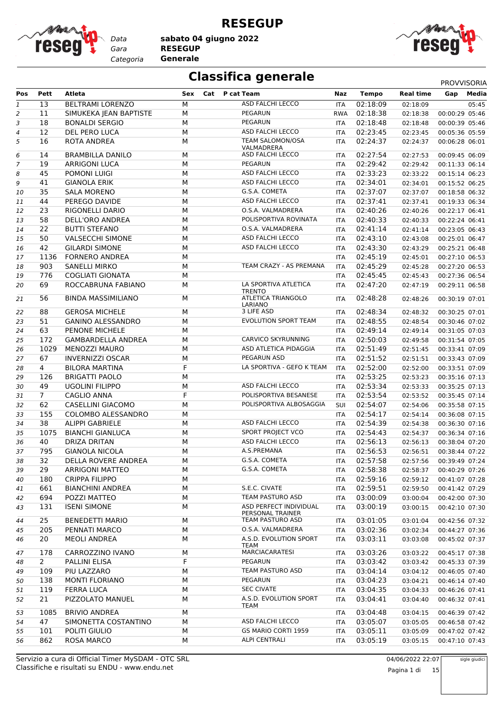

**RESEGUP**

*Gara* **RESEGUP sabato 04 giugno 2022**

*Categoria* **Generale**



## **Classifica generale** PROVVISORIA

| Pos      | Pett           | Atleta                                 | Sex       | Cat P cat Team                                     | Naz        | <b>Tempo</b>         | <b>Real time</b>     | Gap                              | Media |
|----------|----------------|----------------------------------------|-----------|----------------------------------------------------|------------|----------------------|----------------------|----------------------------------|-------|
| 1        | 13             | <b>BELTRAMI LORENZO</b>                | M         | <b>ASD FALCHI LECCO</b>                            | <b>ITA</b> | 02:18:09             | 02:18:09             |                                  | 05:45 |
|          | 11             |                                        | M         | <b>PEGARUN</b>                                     |            | 02:18:38             |                      | 00:00:29 05:46                   |       |
| 2        |                | SIMUKEKA JEAN BAPTISTE                 |           | PEGARUN                                            | <b>RWA</b> |                      | 02:18:38             |                                  |       |
| 3        | 18             | <b>BONALDI SERGIO</b>                  | M         | ASD FALCHI LECCO                                   | <b>ITA</b> | 02:18:48             | 02:18:48             | 00:00:39 05:46                   |       |
| 4        | 12             | DEL PERO LUCA                          | M         |                                                    | ITA        | 02:23:45             | 02:23:45             | 00:05:36 05:59                   |       |
| 5        | 16<br>14       | ROTA ANDREA<br><b>BRAMBILLA DANILO</b> | М<br>M    | TEAM SALOMON/OSA<br>VALMADRERA<br>ASD FALCHI LECCO | ITA        | 02:24:37<br>02:27:54 | 02:24:37<br>02:27:53 | 00:06:28 06:01<br>00:09:45 06:09 |       |
| 6        |                |                                        |           | PEGARUN                                            | ITA        |                      |                      |                                  |       |
| 7        | 19             | <b>ARRIGONI LUCA</b>                   | M         | ASD FALCHI LECCO                                   | <b>ITA</b> | 02:29:42<br>02:33:23 | 02:29:42             | 00:11:33 06:14                   |       |
| 8        | 45             | POMONI LUIGI                           | M         |                                                    | <b>ITA</b> |                      | 02:33:22             | 00:15:14 06:23                   |       |
| 9        | 41             | <b>GIANOLA ERIK</b>                    | M         | ASD FALCHI LECCO                                   | <b>ITA</b> | 02:34:01             | 02:34:01             | 00:15:52 06:25                   |       |
| 10       | 35             | <b>SALA MORENO</b>                     | M         | G.S.A. COMETA                                      | <b>ITA</b> | 02:37:07             | 02:37:07             | 00:18:58 06:32                   |       |
| 11       | 44             | PEREGO DAVIDE                          | М         | ASD FALCHI LECCO                                   | ITA        | 02:37:41             | 02:37:41             | 00:19:33 06:34                   |       |
| 12       | 23             | RIGONELLI DARIO                        | M         | O.S.A. VALMADRERA                                  | <b>ITA</b> | 02:40:26             | 02:40:26             | 00:22:17 06:41                   |       |
| 13       | 58             | DELL'ORO ANDREA                        | M         | POLISPORTIVA ROVINATA                              | <b>ITA</b> | 02:40:33             | 02:40:33             | 00:22:24 06:41                   |       |
| 14       | 22             | <b>BUTTI STEFANO</b>                   | M         | O.S.A. VALMADRERA                                  | ITA        | 02:41:14             | 02:41:14             | 00:23:05 06:43                   |       |
| 15       | 50             | <b>VALSECCHI SIMONE</b>                | M         | ASD FALCHI LECCO                                   | <b>ITA</b> | 02:43:10             | 02:43:08             | 00:25:01 06:47                   |       |
| 16       | 42             | <b>GILARDI SIMONE</b>                  | M         | ASD FALCHI LECCO                                   | ITA        | 02:43:30             | 02:43:29             | 00:25:21 06:48                   |       |
| 17       | 1136           | <b>FORNERO ANDREA</b>                  | M         |                                                    | ITA        | 02:45:19             | 02:45:01             | 00:27:10 06:53                   |       |
| 18       | 903            | <b>SANELLI MIRKO</b>                   | M         | TEAM CRAZY - AS PREMANA                            | <b>ITA</b> | 02:45:29             | 02:45:28             | 00:27:20 06:53                   |       |
| 19       | 776            | <b>COGLIATI GIONATA</b>                | M         |                                                    | ITA        | 02:45:45             | 02:45:43             | 00:27:36 06:54                   |       |
| 20       | 69             | ROCCABRUNA FABIANO                     | M         | LA SPORTIVA ATLETICA                               | ITA        | 02:47:20             | 02:47:19             | 00:29:11 06:58                   |       |
| 21       | 56             | <b>BINDA MASSIMILIANO</b>              | M         | <b>TRENTO</b><br>ATLETICA TRIANGOLO<br>LARIANO     | ITA        | 02:48:28             | 02:48:26             | 00:30:19 07:01                   |       |
| 22       | 88             | <b>GEROSA MICHELE</b>                  | M         | 3 LIFE ASD                                         | <b>ITA</b> | 02:48:34             | 02:48:32             | 00:30:25 07:01                   |       |
| 23       | 51             | <b>GANINO ALESSANDRO</b>               | M         | EVOLUTION SPORT TEAM                               | <b>ITA</b> | 02:48:55             | 02:48:54             | 00:30:46 07:02                   |       |
| 24       | 63             | <b>PENONE MICHELE</b>                  | M         |                                                    | ITA        | 02:49:14             | 02:49:14             | 00:31:05 07:03                   |       |
| 25       | 172            | GAMBARDELLA ANDREA                     | M         | <b>CARVICO SKYRUNNING</b>                          | <b>ITA</b> | 02:50:03             | 02:49:58             | 00:31:54 07:05                   |       |
| 26       | 1029           | <b>MENOZZI MAURO</b>                   | M         | ASD ATLETICA PIDAGGIA                              | <b>ITA</b> | 02:51:49             | 02:51:45             | 00:33:41 07:09                   |       |
| 27       | 67             | <b>INVERNIZZI OSCAR</b>                | M         | PEGARUN ASD                                        | ITA        | 02:51:52             | 02:51:51             | 00:33:43 07:09                   |       |
| 28       | 4              | <b>BILORA MARTINA</b>                  | F         | LA SPORTIVA - GEFO K TEAM                          | <b>ITA</b> | 02:52:00             | 02:52:00             | 00:33:51 07:09                   |       |
| 29       | 126            | <b>BRIGATTI PAOLO</b>                  | M         |                                                    | <b>ITA</b> | 02:53:25             | 02:53:23             | 00:35:16 07:13                   |       |
| 30       | 49             | <b>UGOLINI FILIPPO</b>                 | M         | ASD FALCHI LECCO                                   | ITA        | 02:53:34             | 02:53:33             | 00:35:25 07:13                   |       |
| 31       | $\overline{7}$ | <b>CAGLIO ANNA</b>                     | F         | POLISPORTIVA BESANESE                              | <b>ITA</b> | 02:53:54             | 02:53:52             | 00:35:45 07:14                   |       |
| 32       | 62             | <b>CASELLINI GIACOMO</b>               | ${\sf M}$ | POLISPORTIVA ALBOSAGGIA                            | SUI        | 02:54:07             | 02:54:06             | 00:35:58 07:15                   |       |
| 33       | 155            | COLOMBO ALESSANDRO                     | M         |                                                    | ITA        | 02:54:17             | 02:54:14             | 00:36:08 07:15                   |       |
| 34       | 38             | <b>ALIPPI GABRIELE</b>                 | M         | ASD FALCHI LECCO                                   | <b>ITA</b> | 02:54:39             | 02:54:38             | 00:36:30 07:16                   |       |
| 35       | 1075           | <b>BIANCHI GIANLUCA</b>                | M         | SPORT PROJECT VCO                                  | ITA        | 02:54:43             | 02:54:37             | 00:36:34 07:16                   |       |
| 36       | 40             | DRIZA DRITAN                           | M         | ASD FALCHI LECCO                                   | ITA        | 02:56:13             | 02:56:13             | 00:38:04 07:20                   |       |
| 37       | 795            | <b>GIANOLA NICOLA</b>                  | M         | A.S.PREMANA                                        | ITA        | 02:56:53             | 02:56:51             | 00:38:44 07:22                   |       |
| 38       | 32             | DELLA ROVERE ANDREA                    | M         | G.S.A. COMETA                                      | <b>ITA</b> | 02:57:58             | 02:57:56             | 00:39:49 07:24                   |       |
|          | 29             | <b>ARRIGONI MATTEO</b>                 | М         | G.S.A. COMETA                                      |            | 02:58:38             | 02:58:37             | 00:40:29 07:26                   |       |
| 39       | 180            | <b>CRIPPA FILIPPO</b>                  | M         |                                                    | ITA        | 02:59:16             | 02:59:12             | 00:41:07 07:28                   |       |
| 40       |                | <b>BIANCHINI ANDREA</b>                |           | S.E.C. CIVATE                                      | ITA        |                      |                      |                                  |       |
| 41       | 661            |                                        | М         | TEAM PASTURO ASD                                   | ITA        | 02:59:51             | 02:59:50             | 00:41:42 07:29                   |       |
| 42<br>43 | 694<br>131     | POZZI MATTEO<br><b>ISENI SIMONE</b>    | М<br>М    | ASD PERFECT INDIVIDUAL<br>PERSONAL TRAINER         | ITA<br>ITA | 03:00:09<br>03:00:19 | 03:00:04<br>03:00:15 | 00:42:00 07:30<br>00:42:10 07:30 |       |
| 44       | 25             | <b>BENEDETTI MARIO</b>                 | М         | TEAM PASTURO ASD                                   | ITA        | 03:01:05             | 03:01:04             | 00:42:56 07:32                   |       |
| 45       | 205            | PENNATI MARCO                          | М         | O.S.A. VALMADRERA                                  | ITA        | 03:02:36             | 03:02:34             | 00:44:27 07:36                   |       |
| 46       | 20             | <b>MEOLI ANDREA</b>                    | М         | A.S.D. EVOLUTION SPORT<br>TEAM                     | <b>ITA</b> | 03:03:11             | 03:03:08             | 00:45:02 07:37                   |       |
| 47       | 178            | CARROZZINO IVANO                       | М         | <b>MARCIACARATESI</b>                              | ITA        | 03:03:26             | 03:03:22             | 00:45:17 07:38                   |       |
| 48       | $\overline{2}$ | PALLINI ELISA                          | F         | PEGARUN                                            | ITA        | 03:03:42             | 03:03:42             | 00:45:33 07:39                   |       |
| 49       | 109            | PIU LAZZARO                            | М         | TEAM PASTURO ASD                                   | ITA        | 03:04:14             | 03:04:12             | 00:46:05 07:40                   |       |
| 50       | 138            | <b>MONTI FLORIANO</b>                  | М         | PEGARUN                                            | <b>ITA</b> | 03:04:23             | 03:04:21             | 00:46:14 07:40                   |       |
| 51       | 119            | <b>FERRA LUCA</b>                      | M         | <b>SEC CIVATE</b>                                  | ITA        | 03:04:35             | 03:04:33             | 00:46:26 07:41                   |       |
| 52       | 21             | PIZZOLATO MANUEL                       | М         | A.S.D. EVOLUTION SPORT<br>TEAM                     | ITA        | 03:04:41             | 03:04:40             | 00:46:32 07:41                   |       |
| 53       | 1085           | <b>BRIVIO ANDREA</b>                   | М         |                                                    | ITA        | 03:04:48             | 03:04:15             | 00:46:39 07:42                   |       |
| 54       | 47             | SIMONETTA COSTANTINO                   | М         | ASD FALCHI LECCO                                   | ITA        | 03:05:07             | 03:05:05             | 00:46:58 07:42                   |       |
| 55       | 101            | POLITI GIULIO                          | М         | GS MARIO CORTI 1959                                | ITA        | 03:05:11             | 03:05:09             | 00:47:02 07:42                   |       |
| 56       | 862            | <b>ROSA MARCO</b>                      | М         | <b>ALPI CENTRALI</b>                               | ITA        | 03:05:19             | 03:05:15             | 00:47:10 07:43                   |       |
|          |                |                                        |           |                                                    |            |                      |                      |                                  |       |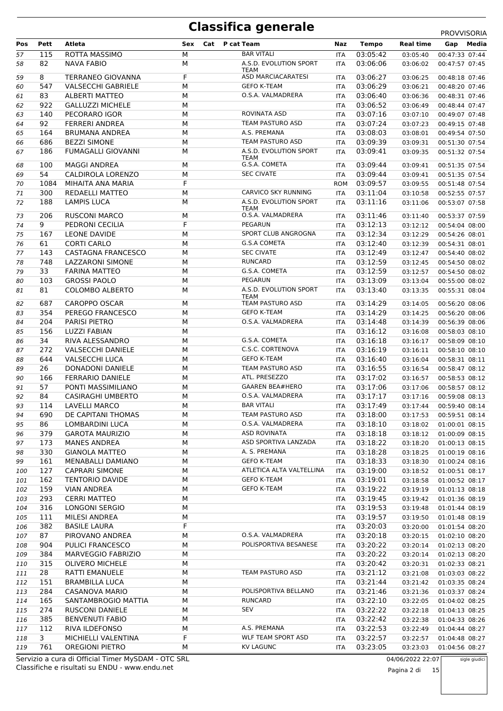|            |             |                                                |        |                                             |                          |                      |                      | PROVVISORIA                      |
|------------|-------------|------------------------------------------------|--------|---------------------------------------------|--------------------------|----------------------|----------------------|----------------------------------|
| Pos        | Pett        | Atleta                                         | Sex    | Cat P cat Team                              | Naz                      | <b>Tempo</b>         | <b>Real time</b>     | Media<br>Gap                     |
| 57         | 115         | ROTTA MASSIMO                                  | M      | <b>BAR VITALI</b>                           | <b>ITA</b>               | 03:05:42             | 03:05:40             | 00:47:33 07:44                   |
| 58         | 82          | NAVA FABIO                                     | M      | A.S.D. EVOLUTION SPORT<br><b>TEAM</b>       | <b>ITA</b>               | 03:06:06             | 03:06:02             | 00:47:57 07:45                   |
| 59         | 8           | <b>TERRANEO GIOVANNA</b>                       | F      | <b>ASD MARCIACARATESI</b>                   | <b>ITA</b>               | 03:06:27             | 03:06:25             | 00:48:18 07:46                   |
| 60         | 547         | <b>VALSECCHI GABRIELE</b>                      | M      | <b>GEFO K-TEAM</b>                          | ITA                      | 03:06:29             | 03:06:21             | 00:48:20 07:46                   |
| 61         | 83          | <b>ALBERTI MATTEO</b>                          | M      | O.S.A. VALMADRERA                           | <b>ITA</b>               | 03:06:40             | 03:06:36             | 00:48:31 07:46                   |
| 62         | 922         | <b>GALLUZZI MICHELE</b>                        | M      |                                             | <b>ITA</b>               | 03:06:52             | 03:06:49             | 00:48:44 07:47                   |
| 63         | 140         | PECORARO IGOR                                  | M      | ROVINATA ASD<br><b>TEAM PASTURO ASD</b>     | ITA                      | 03:07:16<br>03:07:24 | 03:07:10             | 00:49:07 07:48                   |
| 64<br>65   | 92<br>164   | <b>FERRERI ANDREA</b><br><b>BRUMANA ANDREA</b> | M<br>M | A.S. PREMANA                                | <b>ITA</b><br><b>ITA</b> | 03:08:03             | 03:07:23<br>03:08:01 | 00:49:15 07:48<br>00:49:54 07:50 |
| 66         | 686         | <b>BEZZI SIMONE</b>                            | M      | <b>TEAM PASTURO ASD</b>                     | ITA                      | 03:09:39             | 03:09:31             | 00:51:30 07:54                   |
| 67         | 186         | <b>FUMAGALLI GIOVANNI</b>                      | M      | A.S.D. EVOLUTION SPORT                      | ITA                      | 03:09:41             | 03:09:35             | 00:51:32 07:54                   |
|            |             |                                                |        | <b>TEAM</b>                                 |                          |                      |                      |                                  |
| 68         | 100         | <b>MAGGI ANDREA</b>                            | М      | G.S.A. COMETA                               | <b>ITA</b>               | 03:09:44             | 03:09:41             | 00:51:35 07:54                   |
| 69         | 54          | CALDIROLA LORENZO                              | M<br>F | <b>SEC CIVATE</b>                           | <b>ITA</b>               | 03:09:44             | 03:09:41             | 00:51:35 07:54                   |
| 70         | 1084<br>300 | MIHAITA ANA MARIA<br>REDAELLI MATTEO           | М      | CARVICO SKY RUNNING                         | <b>ROM</b>               | 03:09:57<br>03:11:04 | 03:09:55             | 00:51:48 07:54                   |
| 71<br>72   | 188         | LAMPIS LUCA                                    | M      | A.S.D. EVOLUTION SPORT                      | <b>ITA</b><br>ITA        | 03:11:16             | 03:10:58<br>03:11:06 | 00:52:55 07:57<br>00:53:07 07:58 |
|            |             |                                                |        | <b>TEAM</b>                                 |                          |                      |                      |                                  |
| 73         | 206         | <b>RUSCONI MARCO</b>                           | М      | O.S.A. VALMADRERA                           | <b>ITA</b>               | 03:11:46             | 03:11:40             | 00:53:37 07:59                   |
| 74         | 9           | PEDRONI CECILIA                                | F      | <b>PEGARUN</b>                              | <b>ITA</b>               | 03:12:13             | 03:12:12             | 00:54:04 08:00                   |
| 75         | 167         | LEONE DAVIDE                                   | M      | SPORT CLUB ANGROGNA                         | <b>ITA</b>               | 03:12:34             | 03:12:29             | 00:54:26 08:01                   |
| 76         | 61          | <b>CORTI CARLO</b>                             | M      | <b>G.S.A COMETA</b><br><b>SEC CIVATE</b>    | <b>ITA</b>               | 03:12:40             | 03:12:39             | 00:54:31 08:01                   |
| 77<br>78   | 143<br>748  | CASTAGNA FRANCESCO<br><b>LAZZARONI SIMONE</b>  | M<br>M | <b>RUNCARD</b>                              | <b>ITA</b><br><b>ITA</b> | 03:12:49<br>03:12:59 | 03:12:47<br>03:12:45 | 00:54:40 08:02<br>00:54:50 08:02 |
| 79         | 33          | <b>FARINA MATTEO</b>                           | M      | G.S.A. COMETA                               | <b>ITA</b>               | 03:12:59             | 03:12:57             | 00:54:50 08:02                   |
| 80         | 103         | <b>GROSSI PAOLO</b>                            | M      | PEGARUN                                     | <b>ITA</b>               | 03:13:09             | 03:13:04             | 00:55:00 08:02                   |
| 81         | 81          | <b>COLOMBO ALBERTO</b>                         | M      | A.S.D. EVOLUTION SPORT                      | <b>ITA</b>               | 03:13:40             | 03:13:35             | 00:55:31 08:04                   |
|            |             |                                                |        | <b>TEAM</b>                                 |                          |                      |                      |                                  |
| 82         | 687         | <b>CAROPPO OSCAR</b>                           | M      | TEAM PASTURO ASD<br><b>GEFO K-TEAM</b>      | <b>ITA</b>               | 03:14:29             | 03:14:05             | 00:56:20 08:06                   |
| 83         | 354<br>204  | PEREGO FRANCESCO<br>PARISI PIETRO              | M<br>M | O.S.A. VALMADRERA                           | <b>ITA</b><br><b>ITA</b> | 03:14:29<br>03:14:48 | 03:14:25             | 00:56:20 08:06<br>00:56:39 08:06 |
| 84<br>85   | 156         | LUZZI FABIAN                                   | M      |                                             | <b>ITA</b>               | 03:16:12             | 03:14:39<br>03:16:08 | 00:58:03 08:10                   |
| 86         | 34          | RIVA ALESSANDRO                                | M      | G.S.A. COMETA                               | <b>ITA</b>               | 03:16:18             | 03:16:17             | 00:58:09 08:10                   |
| 87         | 272         | <b>VALSECCHI DANIELE</b>                       | M      | C.S.C. CORTENOVA                            | <b>ITA</b>               | 03:16:19             | 03:16:11             | 00:58:10 08:10                   |
| 88         | 644         | <b>VALSECCHI LUCA</b>                          | M      | <b>GEFO K-TEAM</b>                          | <b>ITA</b>               | 03:16:40             | 03:16:04             | 00:58:31 08:11                   |
| 89         | 26          | <b>DONADONI DANIELE</b>                        | M      | TEAM PASTURO ASD                            | <b>ITA</b>               | 03:16:55             | 03:16:54             | 00:58:47 08:12                   |
| 90         | 166         | <b>FERRARIO DANIELE</b>                        | M      | ATL. PRESEZZO                               | <b>ITA</b>               | 03:17:02             | 03:16:57             | 00:58:53 08:12                   |
| 91         | 57          | PONTI MASSIMILIANO                             | M      | <b>GAAREN BEA#HERO</b>                      | <b>ITA</b>               | 03:17:06             | 03:17:06             | 00:58:57 08:12                   |
| 92         | 84          | <b>CASIRAGHI UMBERTO</b>                       | M      | O.S.A. VALMADRERA                           | <b>ITA</b>               | 03:17:17             | 03:17:16             | 00:59:08 08:13                   |
| 93         | 114         | <b>LAVELLI MARCO</b>                           | M      | <b>BAR VITALI</b>                           | <b>ITA</b>               | 03:17:49             | 03:17:44             | 00:59:40 08:14                   |
| 94         | 690         | DE CAPITANI THOMAS                             | М      | TEAM PASTURO ASD                            | ITA                      | 03:18:00             | 03:17:53             | 00:59:51 08:14                   |
| 95         | 86          | LOMBARDINI LUCA                                | M      | O.S.A. VALMADRERA                           | ITA                      | 03:18:10             | 03:18:02             | 01:00:01 08:15                   |
| 96         | 379         | <b>GAROTA MAURIZIO</b>                         | М      | <b>ASD ROVINATA</b><br>ASD SPORTIVA LANZADA | ITA                      | 03:18:18             | 03:18:12             | 01:00:09 08:15                   |
| 97<br>98   | 173<br>330  | <b>MANES ANDREA</b><br><b>GIANOLA MATTEO</b>   | М<br>М | A. S. PREMANA                               | <b>ITA</b><br>ITA        | 03:18:22<br>03:18:28 | 03:18:20<br>03:18:25 | 01:00:13 08:15<br>01:00:19 08:16 |
| 99         | 161         | MENABALLI DAMIANO                              | М      | <b>GEFO K-TEAM</b>                          | ITA                      | 03:18:33             | 03:18:30             | 01:00:24 08:16                   |
| 100        | 127         | <b>CAPRARI SIMONE</b>                          | М      | ATLETICA ALTA VALTELLINA                    | ITA                      | 03:19:00             | 03:18:52             | 01:00:51 08:17                   |
| 101        | 162         | <b>TENTORIO DAVIDE</b>                         | М      | <b>GEFO K-TEAM</b>                          | ITA                      | 03:19:01             | 03:18:58             | 01:00:52 08:17                   |
| 102        | 159         | <b>VIAN ANDREA</b>                             | М      | <b>GEFO K-TEAM</b>                          | ITA                      | 03:19:22             | 03:19:19             | 01:01:13 08:18                   |
| 103        | 293         | <b>CERRI MATTEO</b>                            | М      |                                             | ITA                      | 03:19:45             | 03:19:42             | 01:01:36 08:19                   |
| 104        | 316         | LONGONI SERGIO                                 | M      |                                             | ITA                      | 03:19:53             | 03:19:48             | 01:01:44 08:19                   |
| 105        | 111         | MILESI ANDREA                                  | М      |                                             | ITA                      | 03:19:57             | 03:19:50             | 01:01:48 08:19                   |
| 106        | 382         | <b>BASILE LAURA</b>                            | F      |                                             | ITA                      | 03:20:03             | 03:20:00             | 01:01:54 08:20                   |
| 107        | 87          | PIROVANO ANDREA                                | M      | O.S.A. VALMADRERA                           | ITA                      | 03:20:18             | 03:20:15             | 01:02:10 08:20                   |
| 108        | 904         | <b>PULICI FRANCESCO</b>                        | М      | POLISPORTIVA BESANESE                       | ITA                      | 03:20:22             | 03:20:14             | 01:02:13 08:20                   |
| 109        | 384         | MARVEGGIO FABRIZIO                             | М      |                                             | ITA                      | 03:20:22             | 03:20:14             | 01:02:13 08:20                   |
| 110        | 315         | <b>OLIVERO MICHELE</b>                         | М      | TEAM PASTURO ASD                            | ITA                      | 03:20:42             | 03:20:31             | 01:02:33 08:21                   |
| 111<br>112 | 28<br>151   | RATTI EMANUELE<br><b>BRAMBILLA LUCA</b>        | М<br>М |                                             | ITA<br>ITA               | 03:21:12<br>03:21:44 | 03:21:08<br>03:21:42 | 01:03:03 08:22<br>01:03:35 08:24 |
| 113        | 284         | <b>CASANOVA MARIO</b>                          | М      | POLISPORTIVA BELLANO                        | ITA                      | 03:21:46             | 03:21:36             | 01:03:37 08:24                   |
| 114        | 165         | SANTAMBROGIO MATTIA                            | М      | RUNCARD                                     | ITA                      | 03:22:10             | 03:22:05             | 01:04:02 08:25                   |
| 115        | 274         | RUSCONI DANIELE                                | М      | SEV                                         | ITA                      | 03:22:22             | 03:22:18             | 01:04:13 08:25                   |
| 116        | 385         | <b>BENVENUTI FABIO</b>                         | М      |                                             | ITA                      | 03:22:42             | 03:22:38             | 01:04:33 08:26                   |
| 117        | 112         | RIVA ILDEFONSO                                 | М      | A.S. PREMANA                                | ITA                      | 03:22:53             | 03:22:49             | 01:04:44 08:27                   |
| 118        | 3           | MICHIELLI VALENTINA                            | F      | <b>WLF TEAM SPORT ASD</b>                   | ITA                      | 03:22:57             | 03:22:57             | 01:04:48 08:27                   |
| 119        | 761         | <b>OREGIONI PIETRO</b>                         | М      | <b>KV LAGUNC</b>                            | <b>ITA</b>               | 03:23:05             | 03:23:03             | 01:04:56 08:27                   |

Classifiche e risultati su ENDU - www.endu.net Servizio a cura di Official Timer MySDAM - OTC SRL 04/06/2022 22:07 sigle giudici

Pagina 2 di 15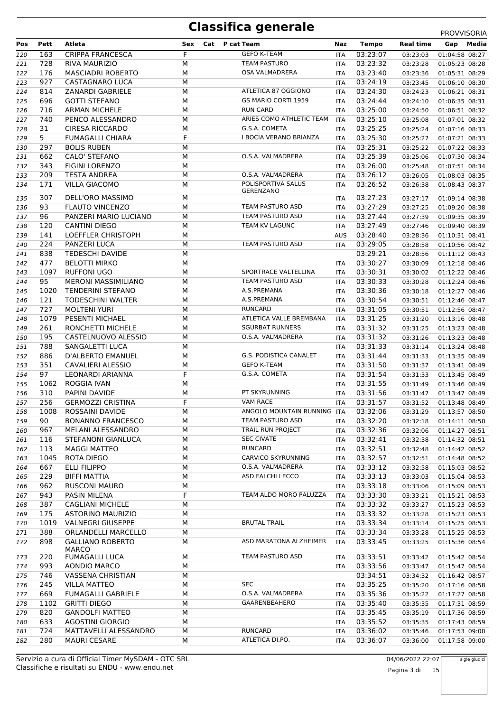|     |      |                            |           |                                                                  |            |              |                  | <b>PROVVISORIA</b> |
|-----|------|----------------------------|-----------|------------------------------------------------------------------|------------|--------------|------------------|--------------------|
| Pos | Pett | Atleta                     | Sex       | Cat P cat Team                                                   | Naz        | <b>Tempo</b> | <b>Real time</b> | Media<br>Gap       |
| 120 | 163  | <b>CRIPPA FRANCESCA</b>    | F         | <b>GEFO K-TEAM</b>                                               | <b>ITA</b> | 03:23:07     | 03:23:03         | 01:04:58 08:27     |
| 121 | 728  | <b>RIVA MAURIZIO</b>       | M         | <b>TEAM PASTURO</b>                                              | <b>ITA</b> | 03:23:32     | 03:23:28         | 01:05:23 08:28     |
| 122 | 176  | <b>MASCIADRI ROBERTO</b>   | M         | <b>OSA VALMADRERA</b>                                            | <b>ITA</b> | 03:23:40     | 03:23:36         | 01:05:31 08:29     |
| 123 | 927  | CASTAGNARO LUCA            | M         |                                                                  | <b>ITA</b> | 03:24:19     | 03:23:45         | 01:06:10 08:30     |
| 124 | 814  | ZANARDI GABRIELE           | M         | ATLETICA 87 OGGIONO                                              | <b>ITA</b> | 03:24:30     | 03:24:23         | 01:06:21 08:31     |
| 125 | 696  | <b>GOTTI STEFANO</b>       | М         | GS MARIO CORTI 1959                                              | <b>ITA</b> | 03:24:44     | 03:24:10         | 01:06:35 08:31     |
| 126 | 716  | <b>ARMAN MICHELE</b>       | М         | <b>RUN CARD</b>                                                  | <b>ITA</b> | 03:25:00     | 03:24:50         | 01:06:51 08:32     |
| 127 | 740  | PENCO ALESSANDRO           | M         | ARIES COMO ATHLETIC TEAM                                         | <b>ITA</b> | 03:25:10     | 03:25:08         | 01:07:01 08:32     |
| 128 | 31   | <b>CIRESA RICCARDO</b>     | M         | G.S.A. COMETA                                                    | <b>ITA</b> | 03:25:25     | 03:25:24         | 01:07:16 08:33     |
| 129 | 5    | <b>FUMAGALLI CHIARA</b>    | F         | <b>I BOCIA VERANO BRIANZA</b>                                    | ITA        | 03:25:30     | 03:25:27         | 01:07:21 08:33     |
| 130 | 297  | <b>BOLIS RUBEN</b>         | M         |                                                                  | ITA        | 03:25:31     | 03:25:22         | 01:07:22 08:33     |
| 131 | 662  | CALO' STEFANO              | M         | O.S.A. VALMADRERA                                                | <b>ITA</b> | 03:25:39     | 03:25:06         | 01:07:30 08:34     |
| 132 | 343  | <b>FIGINI LORENZO</b>      | М         |                                                                  | ITA        | 03:26:00     | 03:25:48         | 01:07:51 08:34     |
| 133 | 209  | <b>TESTA ANDREA</b>        | M         | O.S.A. VALMADRERA                                                | ITA        | 03:26:12     | 03:26:05         | 01:08:03 08:35     |
| 134 | 171  | <b>VILLA GIACOMO</b>       | М         | POLISPORTIVA SALUS                                               | <b>ITA</b> | 03:26:52     | 03:26:38         | 01:08:43 08:37     |
|     |      |                            |           | GERENZANO                                                        |            |              |                  |                    |
| 135 | 307  | DELL'ORO MASSIMO           | М         |                                                                  | <b>ITA</b> | 03:27:23     | 03:27:17         | 01:09:14 08:38     |
| 136 | 93   | <b>FLAUTO VINCENZO</b>     | M         | <b>TEAM PASTURO ASD</b>                                          | <b>ITA</b> | 03:27:29     | 03:27:25         | 01:09:20 08:38     |
| 137 | 96   | PANZERI MARIO LUCIANO      | M         | TEAM PASTURO ASD                                                 | <b>ITA</b> | 03:27:44     | 03:27:39         | 01:09:35 08:39     |
| 138 | 120  | <b>CANTINI DIEGO</b>       | M         | TEAM KV LAGUNC                                                   | <b>ITA</b> | 03:27:49     | 03:27:46         | 01:09:40 08:39     |
| 139 | 141  | LOEFFLER CHRISTOPH         | M         |                                                                  | <b>AUS</b> | 03:28:40     | 03:28:36         | 01:10:31 08:41     |
| 140 | 224  | PANZERI LUCA               | M         | <b>TEAM PASTURO ASD</b>                                          | <b>ITA</b> | 03:29:05     | 03:28:58         | 01:10:56 08:42     |
| 141 | 838  | <b>TEDESCHI DAVIDE</b>     | M         |                                                                  |            | 03:29:21     | 03:28:56         | 01:11:12 08:43     |
| 142 | 477  | <b>BELOTTI MIRKO</b>       | М         |                                                                  | <b>ITA</b> | 03:30:27     | 03:30:09         | 01:12:18 08:46     |
| 143 | 1097 | <b>RUFFONI UGO</b>         | М         | SPORTRACE VALTELLINA                                             | <b>ITA</b> | 03:30:31     | 03:30:02         | 01:12:22 08:46     |
| 144 | 95   | <b>MERONI MASSIMILIANO</b> | M         | TEAM PASTURO ASD                                                 | <b>ITA</b> | 03:30:33     | 03:30:28         | 01:12:24 08:46     |
| 145 | 1020 | <b>TENDERINI STEFANO</b>   | M         | A.S.PREMANA                                                      | <b>ITA</b> | 03:30:36     | 03:30:18         | 01:12:27 08:46     |
| 146 | 121  | <b>TODESCHINI WALTER</b>   | M         | A.S.PREMANA                                                      | ITA        | 03:30:54     | 03:30:51         | 01:12:46 08:47     |
| 147 | 727  | <b>MOLTENI YURI</b>        | M         | <b>RUNCARD</b>                                                   | <b>ITA</b> | 03:31:05     | 03:30:51         | 01:12:56 08:47     |
| 148 | 1079 | PESENTI MICHAEL            | M         | ATLETICA VALLE BREMBANA                                          | <b>ITA</b> | 03:31:25     | 03:31:20         | 01:13:16 08:48     |
| 149 | 261  | RONCHETTI MICHELE          | M         | <b>SGURBAT RUNNERS</b>                                           | <b>ITA</b> | 03:31:32     | 03:31:25         | 01:13:23 08:48     |
| 150 | 195  | CASTELNUOVO ALESSIO        | M         | O.S.A. VALMADRERA                                                | <b>ITA</b> | 03:31:32     | 03:31:26         | 01:13:23 08:48     |
| 151 | 788  | SANGALETTI LUCA            | M         |                                                                  | <b>ITA</b> | 03:31:33     | 03:31:14         | 01:13:24 08:48     |
| 152 | 886  | D'ALBERTO EMANUEL          | M         | G.S. PODISTICA CANALET                                           | ITA        | 03:31:44     | 03:31:33         | 01:13:35 08:49     |
| 153 | 351  | CAVALIERI ALESSIO          | M         | <b>GEFO K-TEAM</b>                                               | ITA        | 03:31:50     | 03:31:37         | 01:13:41 08:49     |
| 154 | 97   | LEONARDI ARIANNA           | F         | G.S.A. COMETA                                                    | <b>ITA</b> | 03:31:54     | 03:31:33         | 01:13:45 08:49     |
| 155 | 1062 | ROGGIA IVAN                | М         |                                                                  | ITA        | 03:31:55     | 03:31:49         | 01:13:46 08:49     |
| 156 | 310  | PAPINI DAVIDE              | M         | PT SKYRUNNING                                                    | <b>ITA</b> | 03:31:56     | 03:31:47         | 01:13:47 08:49     |
| 157 | 256  | <b>GERMOZZI CRISTINA</b>   | F         | <b>VAM RACE</b>                                                  | <b>ITA</b> | 03:31:57     | 03:31:52         | 01:13:48 08:49     |
| 158 |      | 1008 ROSSAINI DAVIDE       | ${\sf M}$ | ANGOLO MOUNTAIN RUNNING ITA  03:32:06  03:31:29  01:13:57  08:50 |            |              |                  |                    |
|     | 90   | <b>BONANNO FRANCESCO</b>   | М         | TEAM PASTURO ASD                                                 |            | 03:32:20     |                  | 01:14:11 08:50     |
| 159 | 967  | MELANI ALESSANDRO          | М         | TRAIL RUN PROJECT                                                | ITA        | 03:32:36     | 03:32:18         | 01:14:27 08:51     |
| 160 |      |                            |           | <b>SEC CIVATE</b>                                                | ITA        |              | 03:32:06         |                    |
| 161 | 116  | STEFANONI GIANLUCA         | М         | RUNCARD                                                          | ITA.       | 03:32:41     | 03:32:38         | 01:14:32 08:51     |
| 162 | 113  | <b>MAGGI MATTEO</b>        | М         |                                                                  | ITA        | 03:32:51     | 03:32:48         | 01:14:42 08:52     |
| 163 | 1045 | ROTA DIEGO                 | М         | CARVICO SKYRUNNING                                               | ITA        | 03:32:57     | 03:32:51         | 01:14:48 08:52     |
| 164 | 667  | <b>ELLI FILIPPO</b>        | М         | O.S.A. VALMADRERA                                                | ITA        | 03:33:12     | 03:32:58         | 01:15:03 08:52     |
| 165 | 229  | <b>BIFFI MATTIA</b>        | M         | ASD FALCHI LECCO                                                 | ITA        | 03:33:13     | 03:33:03         | 01:15:04 08:53     |
| 166 | 962  | RUSCONI MAURO              | М         |                                                                  | ITA.       | 03:33:18     | 03:33:06         | 01:15:09 08:53     |
| 167 | 943  | PASIN MILENA               | F         | TEAM ALDO MORO PALUZZA                                           | ITA        | 03:33:30     | 03:33:21         | 01:15:21 08:53     |
| 168 | 387  | <b>CAGLIANI MICHELE</b>    | М         |                                                                  | ITA        | 03:33:32     | 03:33:27         | 01:15:23 08:53     |
| 169 | 175  | ASTORINO MAURIZIO          | М         |                                                                  | ITA        | 03:33:32     | 03:33:28         | 01:15:23 08:53     |
| 170 | 1019 | <b>VALNEGRI GIUSEPPE</b>   | М         | <b>BRUTAL TRAIL</b>                                              | ITA        | 03:33:34     | 03:33:14         | 01:15:25 08:53     |
| 171 | 388  | ORLANDELLI MARCELLO        | М         |                                                                  | ITA.       | 03:33:34     | 03:33:28         | 01:15:25 08:53     |
| 172 | 898  | <b>GALLIANO ROBERTO</b>    | М         | ASD MARATONA ALZHEIMER                                           | ITA        | 03:33:45     | 03:33:25         | 01:15:36 08:54     |
|     |      | MARCO                      |           |                                                                  |            |              |                  |                    |
| 173 | 220  | <b>FUMAGALLI LUCA</b>      | М         | TEAM PASTURO ASD                                                 | ITA        | 03:33:51     | 03:33:42         | 01:15:42 08:54     |
| 174 | 993  | AONDIO MARCO               | М         |                                                                  | ITA.       | 03:33:56     | 03:33:47         | 01:15:47 08:54     |
| 175 | 746  | <b>VASSENA CHRISTIAN</b>   | М         |                                                                  |            | 03:34:51     | 03:34:32         | 01:16:42 08:57     |
| 176 | 245  | <b>VILLA MATTEO</b>        | М         | SEC                                                              | ITA        | 03:35:25     | 03:35:20         | 01:17:16 08:58     |
| 177 | 669  | <b>FUMAGALLI GABRIELE</b>  | М         | O.S.A. VALMADRERA                                                | ITA        | 03:35:36     | 03:35:22         | 01:17:27 08:58     |
| 178 | 1102 | <b>GRITTI DIEGO</b>        | М         | GAARENBEAHERO                                                    | ITA        | 03:35:40     | 03:35:35         | 01:17:31 08:59     |
| 179 | 820  | <b>GANDOLFI MATTEO</b>     | М         |                                                                  | ITA.       | 03:35:45     | 03:35:19         | 01:17:36 08:59     |
| 180 | 633  | <b>AGOSTINI GIORGIO</b>    | М         |                                                                  | ITA        | 03:35:52     | 03:35:35         | 01:17:43 08:59     |
| 181 | 724  | MATTAVELLI ALESSANDRO      | М         | RUNCARD                                                          | ITA        | 03:36:02     | 03:35:46         | 01:17:53 09:00     |
| 182 | 280  | <b>MAURI CESARE</b>        | М         | ATLETICA DI.PO.                                                  | ITA        | 03:36:07     | 03:36:00         | 01:17:58 09:00     |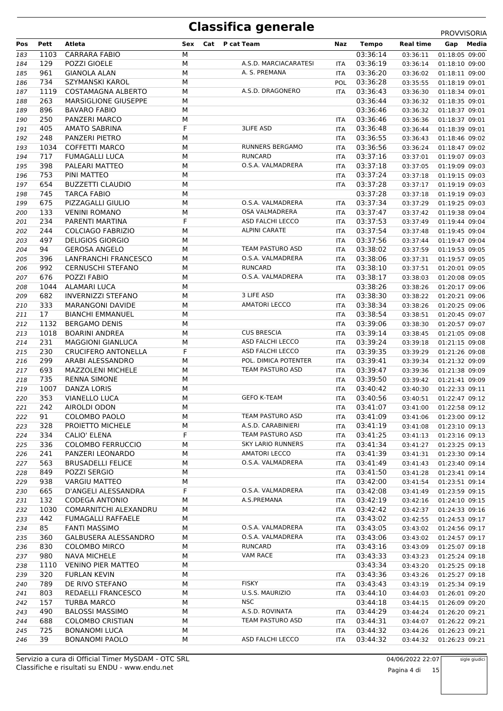|     |      |                              |     |                          |            |          |                  | <b>FNUVVIJUNIA</b> |
|-----|------|------------------------------|-----|--------------------------|------------|----------|------------------|--------------------|
| Pos | Pett | Atleta                       | Sex | <b>Cat</b> P cat Team    | Naz        | Tempo    | <b>Real time</b> | Gap Media          |
| 183 | 1103 | <b>CARRARA FABIO</b>         | М   |                          |            | 03:36:14 | 03:36:11         | 01:18:05 09:00     |
| 184 | 129  | POZZI GIOELE                 | М   | A.S.D. MARCIACARATESI    | <b>ITA</b> | 03:36:19 | 03:36:14         | 01:18:10 09:00     |
| 185 | 961  | <b>GIANOLA ALAN</b>          | M   | A. S. PREMANA            | <b>ITA</b> | 03:36:20 | 03:36:02         | 01:18:11 09:00     |
| 186 | 734  | SZYMANSKI KAROL              | M   |                          | POL        | 03:36:28 | 03:35:55         | 01:18:19 09:01     |
| 187 | 1119 | COSTAMAGNA ALBERTO           | М   | A.S.D. DRAGONERO         | ITA.       | 03:36:43 | 03:36:30         | 01:18:34 09:01     |
| 188 | 263  | <b>MARSIGLIONE GIUSEPPE</b>  | М   |                          |            | 03:36:44 | 03:36:32         | 01:18:35 09:01     |
| 189 | 896  | <b>BAVARO FABIO</b>          | M   |                          |            | 03:36:46 | 03:36:32         | 01:18:37 09:01     |
| 190 | 250  | PANZERI MARCO                | M   |                          | <b>ITA</b> | 03:36:46 | 03:36:36         | 01:18:37 09:01     |
| 191 | 405  | <b>AMATO SABRINA</b>         | F   | <b>3LIFE ASD</b>         | <b>ITA</b> | 03:36:48 | 03:36:44         | 01:18:39 09:01     |
|     | 248  |                              | М   |                          |            |          |                  |                    |
| 192 |      | PANZERI PIETRO               |     |                          | <b>ITA</b> | 03:36:55 | 03:36:43         | 01:18:46 09:02     |
| 193 | 1034 | <b>COFFETTI MARCO</b>        | М   | <b>RUNNERS BERGAMO</b>   | ITA        | 03:36:56 | 03:36:24         | 01:18:47 09:02     |
| 194 | 717  | <b>FUMAGALLI LUCA</b>        | М   | RUNCARD                  | <b>ITA</b> | 03:37:16 | 03:37:01         | 01:19:07 09:03     |
| 195 | 398  | PALEARI MATTEO               | M   | O.S.A. VALMADRERA        | <b>ITA</b> | 03:37:18 | 03:37:05         | 01:19:09 09:03     |
| 196 | 753  | PINI MATTEO                  | M   |                          | <b>ITA</b> | 03:37:24 | 03:37:18         | 01:19:15 09:03     |
| 197 | 654  | <b>BUZZETTI CLAUDIO</b>      | M   |                          | <b>ITA</b> | 03:37:28 | 03:37:17         | 01:19:19 09:03     |
| 198 | 745  | <b>TARCA FABIO</b>           | M   |                          |            | 03:37:28 | 03:37:18         | 01:19:19 09:03     |
| 199 | 675  | PIZZAGALLI GIULIO            | М   | O.S.A. VALMADRERA        | ITA        | 03:37:34 | 03:37:29         | 01:19:25 09:03     |
| 200 | 133  | <b>VENINI ROMANO</b>         | М   | <b>OSA VALMADRERA</b>    | <b>ITA</b> | 03:37:47 | 03:37:42         | 01:19:38 09:04     |
| 201 | 234  | PARENTI MARTINA              | F   | ASD FALCHI LECCO         | <b>ITA</b> | 03:37:53 | 03:37:49         | 01:19:44 09:04     |
| 202 | 244  | <b>COLCIAGO FABRIZIO</b>     | М   | <b>ALPINI CARATE</b>     | ITA        | 03:37:54 | 03:37:48         | 01:19:45 09:04     |
| 203 | 497  | <b>DELIGIOS GIORGIO</b>      | M   |                          | ITA        | 03:37:56 | 03:37:44         | 01:19:47 09:04     |
| 204 | 94   | <b>GEROSA ANGELO</b>         | М   | <b>TEAM PASTURO ASD</b>  | <b>ITA</b> | 03:38:02 | 03:37:59         | 01:19:53 09:05     |
| 205 | 396  | LANFRANCHI FRANCESCO         | М   | O.S.A. VALMADRERA        | ITA        | 03:38:06 | 03:37:31         | 01:19:57 09:05     |
| 206 | 992  | <b>CERNUSCHI STEFANO</b>     | М   | RUNCARD                  | ITA        | 03:38:10 | 03:37:51         | 01:20:01 09:05     |
|     |      |                              |     | O.S.A. VALMADRERA        |            |          |                  |                    |
| 207 | 676  | POZZI FABIO                  | М   |                          | ITA        | 03:38:17 | 03:38:03         | 01:20:08 09:05     |
| 208 | 1044 | ALAMARI LUCA                 | М   |                          |            | 03:38:26 | 03:38:26         | 01:20:17 09:06     |
| 209 | 682  | <b>INVERNIZZI STEFANO</b>    | M   | 3 LIFE ASD               | ITA        | 03:38:30 | 03:38:22         | 01:20:21 09:06     |
| 210 | 333  | <b>MARANGONI DAVIDE</b>      | М   | <b>AMATORI LECCO</b>     | <b>ITA</b> | 03:38:34 | 03:38:26         | 01:20:25 09:06     |
| 211 | 17   | <b>BIANCHI EMMANUEL</b>      | М   |                          | ITA        | 03:38:54 | 03:38:51         | 01:20:45 09:07     |
| 212 | 1132 | <b>BERGAMO DENIS</b>         | М   |                          | <b>ITA</b> | 03:39:06 | 03:38:30         | 01:20:57 09:07     |
| 213 | 1018 | <b>BOARINI ANDREA</b>        | M   | <b>CUS BRESCIA</b>       | <b>ITA</b> | 03:39:14 | 03:38:45         | 01:21:05 09:08     |
| 214 | 231  | <b>MAGGIONI GIANLUCA</b>     | М   | ASD FALCHI LECCO         | ITA        | 03:39:24 | 03:39:18         | 01:21:15 09:08     |
| 215 | 230  | <b>CRUCIFERO ANTONELLA</b>   | F   | ASD FALCHI LECCO         | ITA        | 03:39:35 | 03:39:29         | 01:21:26 09:08     |
| 216 | 299  | ARABI ALESSANDRO             | М   | POL. DIMICA POTENTER     | <b>ITA</b> | 03:39:41 | 03:39:34         | 01:21:32 09:09     |
| 217 | 693  | <b>MAZZOLENI MICHELE</b>     | М   | TEAM PASTURO ASD         | ITA        | 03:39:47 | 03:39:36         | 01:21:38 09:09     |
| 218 | 735  | <b>RENNA SIMONE</b>          | М   |                          | <b>ITA</b> | 03:39:50 | 03:39:42         | 01:21:41 09:09     |
| 219 | 1007 | DANZA LORIS                  | М   |                          | <b>ITA</b> | 03:40:42 | 03:40:30         | 01:22:33 09:11     |
| 220 | 353  | <b>VIANELLO LUCA</b>         | М   | <b>GEFO K-TEAM</b>       | ITA        | 03:40:56 | 03:40:51         | 01:22:47 09:12     |
| 221 | 242  | AIROLDI ODON                 | M   |                          | <b>ITA</b> | 03:41:07 | 03:41:00         | 01:22:58 09:12     |
| 222 | 91   | COLOMBO PAOLO                | М   | TEAM PASTURO ASD         | ITA        | 03:41:09 | 03:41:06         | 01:23:00 09:12     |
| 223 | 328  | PROJETTO MICHELE             | М   | A.S.D. CARABINIERI       | <b>ITA</b> | 03:41:19 | 03:41:08         | 01:23:10 09:13     |
|     | 334  | <b>CALIO' ELENA</b>          | F   | TEAM PASTURO ASD         |            | 03:41:25 |                  | 01:23:16 09:13     |
| 224 |      |                              |     | <b>SKY LARIO RUNNERS</b> | ITA.       |          | 03:41:13         |                    |
| 225 | 336  | <b>COLOMBO FERRUCCIO</b>     | М   |                          | ITA        | 03:41:34 | 03:41:27         | 01:23:25 09:13     |
| 226 | 241  | PANZERI LEONARDO             | М   | <b>AMATORI LECCO</b>     | ITA        | 03:41:39 | 03:41:31         | 01:23:30 09:14     |
| 227 | 563  | <b>BRUSADELLI FELICE</b>     | М   | O.S.A. VALMADRERA        | <b>ITA</b> | 03:41:49 | 03:41:43         | 01:23:40 09:14     |
| 228 | 849  | POZZI SERGIO                 | М   |                          | ITA        | 03:41:50 | 03:41:28         | 01:23:41 09:14     |
| 229 | 938  | <b>VARGIU MATTEO</b>         | М   |                          | ITA        | 03:42:00 | 03:41:54         | 01:23:51 09:14     |
| 230 | 665  | D'ANGELI ALESSANDRA          | F   | O.S.A. VALMADRERA        | ITA.       | 03:42:08 | 03:41:49         | 01:23:59 09:15     |
| 231 | 132  | <b>CODEGA ANTONIO</b>        | М   | A.S.PREMANA              | <b>ITA</b> | 03:42:19 | 03:42:16         | 01:24:10 09:15     |
| 232 | 1030 | <b>COMARNITCHI ALEXANDRU</b> | М   |                          | ITA        | 03:42:42 | 03:42:37         | 01:24:33 09:16     |
| 233 | 442  | <b>FUMAGALLI RAFFAELE</b>    | М   |                          | <b>ITA</b> | 03:43:02 | 03:42:55         | 01:24:53 09:17     |
| 234 | 85   | <b>FANTI MASSIMO</b>         | М   | O.S.A. VALMADRERA        | ITA        | 03:43:05 | 03:43:02         | 01:24:56 09:17     |
| 235 | 360  | GALBUSERA ALESSANDRO         | М   | O.S.A. VALMADRERA        | <b>ITA</b> | 03:43:06 | 03:43:02         | 01:24:57 09:17     |
| 236 | 830  | <b>COLOMBO MIRCO</b>         | М   | <b>RUNCARD</b>           | ITA.       | 03:43:16 | 03:43:09         | 01:25:07 09:18     |
| 237 | 980  | <b>NAVA MICHELE</b>          | М   | VAM RACE                 | <b>ITA</b> | 03:43:33 | 03:43:23         | 01:25:24 09:18     |
| 238 | 1110 | <b>VENINO PIER MATTEO</b>    | М   |                          |            | 03:43:34 | 03:43:20         | 01:25:25 09:18     |
| 239 | 320  | <b>FURLAN KEVIN</b>          | М   |                          | ITA        | 03:43:36 | 03:43:26         | 01:25:27 09:18     |
| 240 | 789  | DE RIVO STEFANO              | М   | <b>FISKY</b>             | ITA        | 03:43:43 | 03:43:19         | 01:25:34 09:19     |
| 241 | 803  | REDAELLI FRANCESCO           | М   | U.S.S. MAURIZIO          | ITA        | 03:44:10 | 03:44:03         | 01:26:01 09:20     |
| 242 | 157  | <b>TURBA MARCO</b>           | М   | <b>NSC</b>               |            | 03:44:18 | 03:44:15         | 01:26:09 09:20     |
|     | 490  | <b>BALOSSI MASSIMO</b>       | М   | A.S.D. ROVINATA          |            | 03:44:29 |                  |                    |
| 243 |      |                              |     | TEAM PASTURO ASD         | ITA        |          | 03:44:24         | 01:26:20 09:21     |
| 244 | 688  | <b>COLOMBO CRISTIAN</b>      | М   |                          | ITA        | 03:44:31 | 03:44:07         | 01:26:22 09:21     |
| 245 | 725  | <b>BONANOMI LUCA</b>         | М   |                          | <b>ITA</b> | 03:44:32 | 03:44:26         | 01:26:23 09:21     |
| 246 | 39   | <b>BONANOMI PAOLO</b>        | М   | ASD FALCHI LECCO         | ITA        | 03:44:32 | 03:44:32         | 01:26:23 09:21     |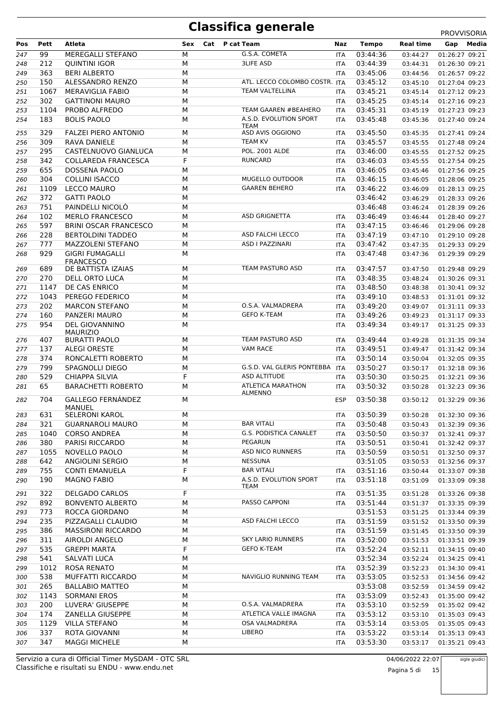|     |      |                                         |            |                                 |            |              |                  | <b>PROVVISORIA</b> |
|-----|------|-----------------------------------------|------------|---------------------------------|------------|--------------|------------------|--------------------|
| Pos | Pett | Atleta                                  | Cat<br>Sex | P cat Team                      | Naz        | <b>Tempo</b> | <b>Real time</b> | Gap<br>Media       |
| 247 | 99   | MEREGALLI STEFANO                       | M          | G.S.A. COMETA                   | <b>ITA</b> | 03:44:36     | 03:44:27         | 01:26:27 09:21     |
| 248 | 212  | <b>QUINTINI IGOR</b>                    | M          | <b>3LIFE ASD</b>                | <b>ITA</b> | 03:44:39     | 03:44:31         | 01:26:30 09:21     |
| 249 | 363  | <b>BERI ALBERTO</b>                     | M          |                                 | <b>ITA</b> | 03:45:06     | 03:44:56         | 01:26:57 09:22     |
| 250 | 150  | ALESSANDRO RENZO                        | M          | ATL. LECCO COLOMBO COSTR. ITA   |            | 03:45:12     | 03:45:10         | 01:27:04 09:23     |
| 251 | 1067 | <b>MERAVIGLIA FABIO</b>                 | M          | <b>TEAM VALTELLINA</b>          | <b>ITA</b> | 03:45:21     | 03:45:14         | 01:27:12 09:23     |
| 252 | 302  | <b>GATTINONI MAURO</b>                  | М          |                                 | <b>ITA</b> | 03:45:25     | 03:45:14         | 01:27:16 09:23     |
| 253 | 1104 | PROBO ALFREDO                           | M          | <b>TEAM GAAREN #BEAHERO</b>     | <b>ITA</b> | 03:45:31     | 03:45:19         | 01:27:23 09:23     |
| 254 | 183  | <b>BOLIS PAOLO</b>                      | M          | A.S.D. EVOLUTION SPORT          | ITA        | 03:45:48     | 03:45:36         | 01:27:40 09:24     |
|     |      |                                         |            | <b>TEAM</b><br>ASD AVIS OGGIONO |            |              |                  |                    |
| 255 | 329  | <b>FALZEI PIERO ANTONIO</b>             | M          |                                 | <b>ITA</b> | 03:45:50     | 03:45:35         | 01:27:41 09:24     |
| 256 | 309  | <b>RAVA DANIELE</b>                     | M          | <b>TEAM KV</b>                  | <b>ITA</b> | 03:45:57     | 03:45:55         | 01:27:48 09:24     |
| 257 | 295  | CASTELNUOVO GIANLUCA                    | М          | <b>POL. 2001 ALDE</b>           | <b>ITA</b> | 03:46:00     | 03:45:55         | 01:27:52 09:25     |
| 258 | 342  | <b>COLLAREDA FRANCESCA</b>              | F          | <b>RUNCARD</b>                  | <b>ITA</b> | 03:46:03     | 03:45:55         | 01:27:54 09:25     |
| 259 | 655  | <b>DOSSENA PAOLO</b>                    | M          |                                 | <b>ITA</b> | 03:46:05     | 03:45:46         | 01:27:56 09:25     |
| 260 | 304  | <b>COLLINI ISACCO</b>                   | M          | MUGELLO OUTDOOR                 | <b>ITA</b> | 03:46:15     | 03:46:05         | 01:28:06 09:25     |
| 261 | 1109 | <b>LECCO MAURO</b>                      | M          | <b>GAAREN BEHERO</b>            | <b>ITA</b> | 03:46:22     | 03:46:09         | 01:28:13 09:25     |
| 262 | 372  | <b>GATTI PAOLO</b>                      | M          |                                 |            | 03:46:42     | 03:46:29         | 01:28:33 09:26     |
| 263 | 751  | PAINDELLI NICOLÒ                        | M          |                                 |            | 03:46:48     | 03:46:24         | 01:28:39 09:26     |
| 264 | 102  | <b>MERLO FRANCESCO</b>                  | M          | <b>ASD GRIGNETTA</b>            | <b>ITA</b> | 03:46:49     | 03:46:44         | 01:28:40 09:27     |
| 265 | 597  | <b>BRINI OSCAR FRANCESCO</b>            | M          |                                 | <b>ITA</b> | 03:47:15     | 03:46:46         | 01:29:06 09:28     |
| 266 | 228  | <b>BERTOLDINI TADDEO</b>                | M          | ASD FALCHI LECCO                | <b>ITA</b> | 03:47:19     | 03:47:10         | 01:29:10 09:28     |
| 267 | 777  | MAZZOLENI STEFANO                       | M          | ASD I PAZZINARI                 | <b>ITA</b> | 03:47:42     | 03:47:35         | 01:29:33 09:29     |
| 268 | 929  | <b>GIGRI FUMAGALLI</b>                  | M          |                                 | <b>ITA</b> | 03:47:48     | 03:47:36         | 01:29:39 09:29     |
|     |      | <b>FRANCESCO</b>                        |            |                                 |            |              |                  |                    |
| 269 | 689  | DE BATTISTA IZAIAS                      | M          | TEAM PASTURO ASD                | <b>ITA</b> | 03:47:57     | 03:47:50         | 01:29:48 09:29     |
| 270 | 270  | DELL ORTO LUCA                          | M          |                                 | <b>ITA</b> | 03:48:35     | 03:48:24         | 01:30:26 09:31     |
| 271 | 1147 | DE CAS ENRICO                           | M          |                                 | <b>ITA</b> | 03:48:50     | 03:48:38         | 01:30:41 09:32     |
| 272 | 1043 | PEREGO FEDERICO                         | M          |                                 | <b>ITA</b> | 03:49:10     | 03:48:53         | 01:31:01 09:32     |
| 273 | 202  | <b>MARCON STEFANO</b>                   | M          | O.S.A. VALMADRERA               | <b>ITA</b> | 03:49:20     | 03:49:07         | 01:31:11 09:33     |
| 274 | 160  | PANZERI MAURO                           | M          | <b>GEFO K-TEAM</b>              | ITA        | 03:49:26     | 03:49:23         | 01:31:17 09:33     |
| 275 | 954  | DEL GIOVANNINO                          | M          |                                 | <b>ITA</b> | 03:49:34     | 03:49:17         | 01:31:25 09:33     |
| 276 | 407  | <b>MAURIZIO</b><br><b>BURATTI PAOLO</b> | M          | TEAM PASTURO ASD                | <b>ITA</b> | 03:49:44     | 03:49:28         | 01:31:35 09:34     |
| 277 | 137  | <b>ALEGI ORESTE</b>                     | M          | <b>VAM RACE</b>                 | <b>ITA</b> | 03:49:51     | 03:49:47         | 01:31:42 09:34     |
| 278 | 374  | RONCALETTI ROBERTO                      | M          |                                 | <b>ITA</b> | 03:50:14     | 03:50:04         | 01:32:05 09:35     |
| 279 | 799  | SPAGNOLLI DIEGO                         | M          | G.S.D. VAL GLERIS PONTEBBA      | <b>ITA</b> | 03:50:27     | 03:50:17         | 01:32:18 09:36     |
| 280 | 529  | <b>CHIAPPA SILVIA</b>                   | F          | <b>ASD ALTITUDE</b>             | <b>ITA</b> | 03:50:30     | 03:50:25         | 01:32:21 09:36     |
| 281 | 65   | <b>BARACHETTI ROBERTO</b>               | M          | <b>ATLETICA MARATHON</b>        |            | 03:50:32     | 03:50:28         | 01:32:23 09:36     |
|     |      |                                         |            | <b>ALMENNO</b>                  | ITA        |              |                  |                    |
| 282 | 704  | <b>GALLEGO FERNÁNDEZ</b>                | M          |                                 | <b>ESP</b> | 03:50:38     | 03:50:12         | 01:32:29 09:36     |
|     |      | <b>MANUEL</b>                           |            |                                 |            |              |                  |                    |
| 283 | 631  | <b>SELERONI KAROL</b>                   | М          |                                 | ITA        | 03:50:39     | 03:50:28         | 01:32:30 09:36     |
| 284 | 321  | <b>GUARNAROLI MAURO</b>                 | M          | <b>BAR VITALI</b>               | ITA        | 03:50:48     | 03:50:43         | 01:32:39 09:36     |
| 285 | 1040 | <b>CORSO ANDREA</b>                     | М          | G.S. PODISTICA CANALET          | ITA        | 03:50:50     | 03:50:37         | 01:32:41 09:37     |
| 286 | 380  | PARISI RICCARDO                         | М          | PEGARUN                         | ITA        | 03:50:51     | 03:50:41         | 01:32:42 09:37     |
| 287 | 1055 | NOVELLO PAOLO                           | М          | <b>ASD NICO RUNNERS</b>         | ITA        | 03:50:59     | 03:50:51         | 01:32:50 09:37     |
| 288 | 642  | ANGIOLINI SERGIO                        | М          | NESSUNA                         |            | 03:51:05     | 03:50:53         | 01:32:56 09:37     |
| 289 | 755  | <b>CONTI EMANUELA</b>                   | F          | <b>BAR VITALI</b>               | ITA        | 03:51:16     | 03:50:44         | 01:33:07 09:38     |
| 290 | 190  | <b>MAGNO FABIO</b>                      | м          | A.S.D. EVOLUTION SPORT          | ITA.       | 03:51:18     | 03:51:09         | 01:33:09 09:38     |
| 291 | 322  | <b>DELGADO CARLOS</b>                   | F          | TEAM                            | ITA        | 03:51:35     | 03:51:28         | 01:33:26 09:38     |
| 292 | 892  | <b>BONVENTO ALBERTO</b>                 | М          | PASSO CAPPONI                   | ITA        | 03:51:44     | 03:51:37         | 01:33:35 09:39     |
| 293 | 773  | ROCCA GIORDANO                          | М          |                                 |            | 03:51:53     | 03:51:25         | 01:33:44 09:39     |
| 294 | 235  | PIZZAGALLI CLAUDIO                      | М          | ASD FALCHI LECCO                | ITA        | 03:51:59     | 03:51:52         | 01:33:50 09:39     |
| 295 | 386  | <b>MASSIRONI RICCARDO</b>               | М          |                                 | ITA        | 03:51:59     | 03:51:45         | 01:33:50 09:39     |
| 296 | 311  | AIROLDI ANGELO                          | м          | <b>SKY LARIO RUNNERS</b>        | ITA        | 03:52:00     | 03:51:53         | 01:33:51 09:39     |
| 297 | 535  | <b>GREPPI MARTA</b>                     | F          | <b>GEFO K-TEAM</b>              | ITA        | 03:52:24     | 03:52:11         | 01:34:15 09:40     |
|     | 541  | SALVATI LUCA                            |            |                                 |            | 03:52:34     |                  |                    |
| 298 | 1012 |                                         | М          |                                 |            |              | 03:52:24         | 01:34:25 09:41     |
| 299 |      | ROSA RENATO                             | М          | NAVIGLIO RUNNING TEAM           | ITA        | 03:52:39     | 03:52:23         | 01:34:30 09:41     |
| 300 | 538  | MUFFATTI RICCARDO                       | М          |                                 | ITA.       | 03:53:05     | 03:52:53         | 01:34:56 09:42     |
| 301 | 265  | <b>BALLABIO MATTEO</b>                  | M          |                                 |            | 03:53:08     | 03:52:59         | 01:34:59 09:42     |
| 302 | 1143 | <b>SORMANI EROS</b>                     | М          |                                 | ITA        | 03:53:09     | 03:52:43         | 01:35:00 09:42     |
| 303 | 200  | LUVERA' GIUSEPPE                        | М          | O.S.A. VALMADRERA               | ITA        | 03:53:10     | 03:52:59         | 01:35:02 09:42     |
| 304 | 174  | ZANELLA GIUSEPPE                        | М          | ATLETICA VALLE IMAGNA           | ITA        | 03:53:12     | 03:53:10         | 01:35:03 09:43     |
| 305 | 1129 | <b>VILLA STEFANO</b>                    | М          | OSA VALMADRERA                  | ITA        | 03:53:14     | 03:53:05         | 01:35:05 09:43     |
| 306 | 337  | ROTA GIOVANNI                           | М          | <b>LIBERO</b>                   | ITA        | 03:53:22     | 03:53:14         | 01:35:13 09:43     |
| 307 | 347  | <b>MAGGI MICHELE</b>                    | М          |                                 | ITA        | 03:53:30     | 03:53:17         | 01:35:21 09:43     |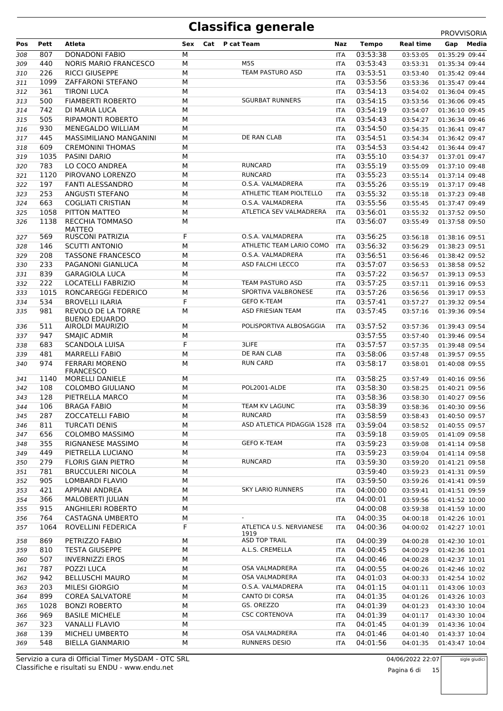|     |      |                                           |     |     |                                |            |              |                  | <b>PRUVVIJURIA</b> |
|-----|------|-------------------------------------------|-----|-----|--------------------------------|------------|--------------|------------------|--------------------|
| Pos | Pett | Atleta                                    | Sex | Cat | P cat Team                     | Naz        | <b>Tempo</b> | <b>Real time</b> | Media<br>Gap       |
| 308 | 807  | <b>DONADONI FABIO</b>                     | М   |     |                                | <b>ITA</b> | 03:53:38     | 03:53:05         | 01:35:29 09:44     |
| 309 | 440  | <b>NORIS MARIO FRANCESCO</b>              | M   |     | M5S                            | <b>ITA</b> | 03:53:43     | 03:53:31         | 01:35:34 09:44     |
| 310 | 226  | <b>RICCI GIUSEPPE</b>                     | М   |     | TEAM PASTURO ASD               | <b>ITA</b> | 03:53:51     | 03:53:40         | 01:35:42 09:44     |
| 311 | 1099 | <b>ZAFFARONI STEFANO</b>                  | M   |     |                                | <b>ITA</b> | 03:53:56     | 03:53:36         | 01:35:47 09:44     |
| 312 | 361  | <b>TIRONI LUCA</b>                        | М   |     |                                | <b>ITA</b> | 03:54:13     | 03:54:02         | 01:36:04 09:45     |
|     |      |                                           |     |     | <b>SGURBAT RUNNERS</b>         |            |              |                  |                    |
| 313 | 500  | <b>FIAMBERTI ROBERTO</b>                  | М   |     |                                | <b>ITA</b> | 03:54:15     | 03:53:56         | 01:36:06 09:45     |
| 314 | 742  | DI MARIA LUCA                             | М   |     |                                | <b>ITA</b> | 03:54:19     | 03:54:07         | 01:36:10 09:45     |
| 315 | 505  | <b>RIPAMONTI ROBERTO</b>                  | M   |     |                                | <b>ITA</b> | 03:54:43     | 03:54:27         | 01:36:34 09:46     |
| 316 | 930  | MENEGALDO WILLIAM                         | М   |     |                                | ITA        | 03:54:50     | 03:54:35         | 01:36:41 09:47     |
| 317 | 445  | MASSIMILIANO MANGANINI                    | M   |     | DE RAN CLAB                    | <b>ITA</b> | 03:54:51     | 03:54:34         | 01:36:42 09:47     |
| 318 | 609  | <b>CREMONINI THOMAS</b>                   | M   |     |                                | <b>ITA</b> | 03:54:53     | 03:54:42         | 01:36:44 09:47     |
| 319 | 1035 | <b>PASINI DARIO</b>                       | М   |     |                                | <b>ITA</b> | 03:55:10     | 03:54:37         | 01:37:01 09:47     |
| 320 | 783  | LO COCO ANDREA                            | М   |     | <b>RUNCARD</b>                 | <b>ITA</b> | 03:55:19     | 03:55:09         | 01:37:10 09:48     |
| 321 | 1120 | PIROVANO LORENZO                          | M   |     | <b>RUNCARD</b>                 | <b>ITA</b> | 03:55:23     | 03:55:14         | 01:37:14 09:48     |
| 322 | 197  | <b>FANTI ALESSANDRO</b>                   | М   |     | O.S.A. VALMADRERA              | <b>ITA</b> | 03:55:26     | 03:55:19         | 01:37:17 09:48     |
|     | 253  |                                           | M   |     | ATHLETIC TEAM PIOLTELLO        |            | 03:55:32     |                  |                    |
| 323 |      | ANGUSTI STEFANO                           |     |     |                                | <b>ITA</b> |              | 03:55:18         | 01:37:23 09:48     |
| 324 | 663  | <b>COGLIATI CRISTIAN</b>                  | М   |     | O.S.A. VALMADRERA              | <b>ITA</b> | 03:55:56     | 03:55:45         | 01:37:47 09:49     |
| 325 | 1058 | PITTON MATTEO                             | М   |     | ATLETICA SEV VALMADRERA        | <b>ITA</b> | 03:56:01     | 03:55:32         | 01:37:52 09:50     |
| 326 | 1138 | <b>RECCHIA TOMMASO</b>                    | М   |     |                                | <b>ITA</b> | 03:56:07     | 03:55:49         | 01:37:58 09:50     |
|     |      | <b>MATTEO</b>                             |     |     |                                |            |              |                  |                    |
| 327 | 569  | RUSCONI PATRIZIA                          | F   |     | O.S.A. VALMADRERA              | <b>ITA</b> | 03:56:25     | 03:56:18         | 01:38:16 09:51     |
| 328 | 146  | <b>SCUTTI ANTONIO</b>                     | M   |     | ATHLETIC TEAM LARIO COMO       | <b>ITA</b> | 03:56:32     | 03:56:29         | 01:38:23 09:51     |
| 329 | 208  | <b>TASSONE FRANCESCO</b>                  | М   |     | O.S.A. VALMADRERA              | ITA        | 03:56:51     | 03:56:46         | 01:38:42 09:52     |
| 330 | 233  | PAGANONI GIANLUCA                         | M   |     | ASD FALCHI LECCO               | <b>ITA</b> | 03:57:07     | 03:56:53         | 01:38:58 09:52     |
| 331 | 839  | <b>GARAGIOLA LUCA</b>                     | М   |     |                                | <b>ITA</b> | 03:57:22     | 03:56:57         | 01:39:13 09:53     |
| 332 | 222  | <b>LOCATELLI FABRIZIO</b>                 | М   |     | TEAM PASTURO ASD               | <b>ITA</b> | 03:57:25     | 03:57:11         | 01:39:16 09:53     |
| 333 | 1015 | RONCAREGGI FEDERICO                       | М   |     | SPORTIVA VALBRONESE            | <b>ITA</b> | 03:57:26     | 03:56:56         | 01:39:17 09:53     |
| 334 | 534  | <b>BROVELLI ILARIA</b>                    | F   |     | <b>GEFO K-TEAM</b>             | <b>ITA</b> | 03:57:41     | 03:57:27         | 01:39:32 09:54     |
| 335 | 981  | REVOLO DE LA TORRE                        | М   |     | <b>ASD FRIESIAN TEAM</b>       | ITA        | 03:57:45     | 03:57:16         | 01:39:36 09:54     |
|     |      | <b>BUENO EDUARDO</b>                      |     |     |                                |            |              |                  |                    |
| 336 | 511  | AIROLDI MAURIZIO                          | М   |     | POLISPORTIVA ALBOSAGGIA        | <b>ITA</b> | 03:57:52     | 03:57:36         | 01:39:43 09:54     |
| 337 | 947  | SMAJIC ADMIR                              | M   |     |                                |            | 03:57:55     | 03:57:40         | 01:39:46 09:54     |
| 338 | 683  | <b>SCANDOLA LUISA</b>                     | F   |     | 3LIFE                          | <b>ITA</b> | 03:57:57     | 03:57:35         | 01:39:48 09:54     |
|     | 481  |                                           |     |     | DE RAN CLAB                    |            | 03:58:06     |                  |                    |
| 339 |      | <b>MARRELLI FABIO</b>                     | М   |     |                                | ITA        |              | 03:57:48         | 01:39:57 09:55     |
| 340 | 974  | <b>FERRARI MORENO</b><br><b>FRANCESCO</b> | М   |     | <b>RUN CARD</b>                | <b>ITA</b> | 03:58:17     | 03:58:01         | 01:40:08 09:55     |
| 341 | 1140 | <b>MORELLI DANIELE</b>                    | М   |     |                                | <b>ITA</b> | 03:58:25     | 03:57:49         | 01:40:16 09:56     |
|     |      | <b>COLOMBO GIULIANO</b>                   | M   |     | POL2001-ALDE                   |            |              |                  |                    |
| 342 | 108  |                                           |     |     |                                | <b>ITA</b> | 03:58:30     | 03:58:25         | 01:40:21 09:56     |
| 343 | 128  | PIETRELLA MARCO                           | М   |     |                                | ITA        | 03:58:36     | 03:58:30         | 01:40:27 09:56     |
| 344 | 106  | <b>BRAGA FABIO</b>                        | М   |     | TEAM KV LAGUNC                 | <b>ITA</b> | 03:58:39     | 03:58:36         | 01:40:30 09:56     |
| 345 | 287  | ZOCCATELLI FABIO                          | М   |     | RUNCARD                        | ITA        | 03:58:59     | 03:58:43         | 01:40:50 09:57     |
| 346 | 811  | <b>TURCATI DENIS</b>                      | M   |     | ASD ATLETICA PIDAGGIA 1528 ITA |            | 03:59:04     | 03:58:52         | 01:40:55 09:57     |
| 347 | 656  | <b>COLOMBO MASSIMO</b>                    | м   |     |                                | ITA        | 03:59:18     | 03:59:05         | 01:41:09 09:58     |
| 348 | 355  | RIGNANESE MASSIMO                         | М   |     | <b>GEFO K-TEAM</b>             | ITA        | 03:59:23     | 03:59:08         | 01:41:14 09:58     |
| 349 | 449  | PIETRELLA LUCIANO                         | М   |     |                                | ITA        | 03:59:23     | 03:59:04         | 01:41:14 09:58     |
| 350 | 279  | FLORIS GIAN PIETRO                        | М   |     | <b>RUNCARD</b>                 | <b>ITA</b> | 03:59:30     | 03:59:20         | 01:41:21 09:58     |
| 351 | 781  | <b>BRUCCULERI NICOLA</b>                  | М   |     |                                |            | 03:59:40     | 03:59:23         | 01:41:31 09:59     |
|     | 905  | LOMBARDI FLAVIO                           |     |     |                                |            | 03:59:50     |                  | 01:41:41 09:59     |
| 352 |      |                                           | M   |     |                                | ITA        |              | 03:59:26         |                    |
| 353 | 421  | APPIANI ANDREA                            | М   |     | <b>SKY LARIO RUNNERS</b>       | ITA        | 04:00:00     | 03:59:41         | 01:41:51 09:59     |
| 354 | 366  | MALOBERTI JULIAN                          | M   |     |                                | ITA        | 04:00:01     | 03:59:56         | 01:41:52 10:00     |
| 355 | 915  | ANGHILERI ROBERTO                         | М   |     |                                |            | 04:00:08     | 03:59:38         | 01:41:59 10:00     |
| 356 | 764  | CASTAGNA UMBERTO                          | М   |     |                                | ITA        | 04:00:35     | 04:00:18         | 01:42:26 10:01     |
| 357 | 1064 | ROVELLINI FEDERICA                        | F   |     | ATLETICA U.S. NERVIANESE       | ITA        | 04:00:36     | 04:00:02         | 01:42:27 10:01     |
|     | 869  |                                           |     |     | 1919<br>ASD TOP TRAIL          |            |              |                  |                    |
| 358 |      | PETRIZZO FABIO                            | М   |     |                                | <b>ITA</b> | 04:00:39     | 04:00:28         | 01:42:30 10:01     |
| 359 | 810  | <b>TESTA GIUSEPPE</b>                     | M   |     | A.L.S. CREMELLA                | <b>ITA</b> | 04:00:45     | 04:00:29         | 01:42:36 10:01     |
| 360 | 507  | <b>INVERNIZZI EROS</b>                    | М   |     |                                | ITA        | 04:00:46     | 04:00:28         | 01:42:37 10:01     |
| 361 | 787  | POZZI LUCA                                | M   |     | OSA VALMADRERA                 | <b>ITA</b> | 04:00:55     | 04:00:26         | 01:42:46 10:02     |
| 362 | 942  | <b>BELLUSCHI MAURO</b>                    | M   |     | OSA VALMADRERA                 | <b>ITA</b> | 04:01:03     | 04:00:33         | 01:42:54 10:02     |
| 363 | 203  | MILESI GIORGIO                            | M   |     | O.S.A. VALMADRERA              | ITA        | 04:01:15     | 04:01:11         | 01:43:06 10:03     |
| 364 | 899  | <b>COREA SALVATORE</b>                    | M   |     | CANTO DI CORSA                 | ITA        | 04:01:35     | 04:01:26         | 01:43:26 10:03     |
| 365 | 1028 | <b>BONZI ROBERTO</b>                      | М   |     | GS. OREZZO                     | ITA        | 04:01:39     | 04:01:23         | 01:43:30 10:04     |
| 366 | 969  | <b>BASILE MICHELE</b>                     | М   |     | <b>CSC CORTENOVA</b>           | ITA        | 04:01:39     | 04:01:17         | 01:43:30 10:04     |
| 367 | 323  | <b>VANALLI FLAVIO</b>                     | М   |     |                                | <b>ITA</b> | 04:01:45     | 04:01:39         | 01:43:36 10:04     |
|     | 139  |                                           |     |     | OSA VALMADRERA                 |            |              |                  |                    |
| 368 |      | MICHELI UMBERTO                           | М   |     |                                | ITA        | 04:01:46     | 04:01:40         | 01:43:37 10:04     |
| 369 | 548  | <b>BIELLA GIANMARIO</b>                   | М   |     | <b>RUNNERS DESIO</b>           | <b>ITA</b> | 04:01:56     | 04:01:35         | 01:43:47 10:04     |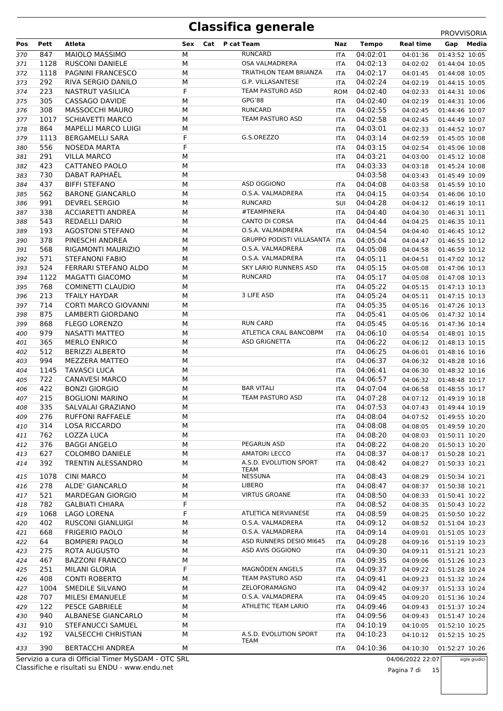| Pos        | Pett        | Atleta                                             | Sex         | Cat | P cat Team                               | Naz                      | <b>Tempo</b>         | <b>Real time</b>     |                                  | Gap Media     |
|------------|-------------|----------------------------------------------------|-------------|-----|------------------------------------------|--------------------------|----------------------|----------------------|----------------------------------|---------------|
| 370        | 847         | MAIOLO MASSIMO                                     | М           |     | <b>RUNCARD</b>                           | <b>ITA</b>               | 04:02:01             | 04:01:36             | 01:43:52 10:05                   |               |
| 371        | 1128        | <b>RUSCONI DANIELE</b>                             | М           |     | <b>OSA VALMADRERA</b>                    | <b>ITA</b>               | 04:02:13             | 04:02:02             | 01:44:04 10:05                   |               |
| 372        | 1118        | PAGNINI FRANCESCO                                  | М           |     | TRIATHLON TEAM BRIANZA                   | ITA                      | 04:02:17             | 04:01:45             | 01:44:08 10:05                   |               |
| 373        | 292         | RIVA SERGIO DANILO                                 | M           |     | G.P. VILLASANTESE                        | <b>ITA</b>               | 04:02:24             | 04:02:19             | 01:44:15 10:05                   |               |
| 374        | 223         | <b>NASTRUT VASILICA</b>                            | F           |     | TEAM PASTURO ASD                         | <b>ROM</b>               | 04:02:40             | 04:02:33             | 01:44:31 10:06                   |               |
| 375        | 305         | CASSAGO DAVIDE                                     | М           |     | GPG'88                                   | ITA                      | 04:02:40             | 04:02:19             | 01:44:31 10:06                   |               |
| 376        | 308         | MASSOCCHI MAURO                                    | M           |     | <b>RUNCARD</b>                           | ITA                      | 04:02:55             | 04:02:45             | 01:44:46 10:07                   |               |
| 377        | 1017        | <b>SCHIAVETTI MARCO</b>                            | M           |     | TEAM PASTURO ASD                         | <b>ITA</b>               | 04:02:58             | 04:02:45             | 01:44:49 10:07                   |               |
| 378        | 864         | <b>MAPELLI MARCO LUIGI</b>                         | M           |     |                                          | <b>ITA</b>               | 04:03:01             | 04:02:33             | 01:44:52 10:07                   |               |
| 379        | 1113        | <b>BERGAMELLI SARA</b>                             | F           |     | G.S.OREZZO                               | <b>ITA</b>               | 04:03:14             | 04:02:59             | 01:45:05 10:08                   |               |
| 380        | 556         | NOSEDA MARTA                                       | F           |     |                                          | <b>ITA</b>               | 04:03:15             | 04:02:54             | 01:45:06 10:08                   |               |
| 381        | 291         | <b>VILLA MARCO</b>                                 | М           |     |                                          | ITA                      | 04:03:21             | 04:03:00             | 01:45:12 10:08                   |               |
| 382        | 423         | CATTANEO PAOLO                                     | M           |     |                                          | ITA                      | 04:03:33             | 04:03:18             | 01:45:24 10:08                   |               |
| 383        | 730         | DABAT RAPHAEL                                      | M           |     |                                          |                          | 04:03:58             | 04:03:43             | 01:45:49 10:09                   |               |
| 384        | 437         | <b>BIFFI STEFANO</b>                               | М           |     | ASD OGGIONO                              | <b>ITA</b>               | 04:04:08             | 04:03:58             | 01:45:59 10:10                   |               |
| 385        | 562<br>991  | <b>BARONE GIANCARLO</b><br><b>DEVREL SERGIO</b>    | M<br>М      |     | O.S.A. VALMADRERA<br><b>RUNCARD</b>      | ITA                      | 04:04:15             | 04:03:54             | 01:46:06 10:10                   |               |
| 386        | 338         | <b>ACCIARETTI ANDREA</b>                           | М           |     | #TEAMPINERA                              | <b>SUI</b>               | 04:04:28<br>04:04:40 | 04:04:12             | 01:46:19 10:11                   |               |
| 387<br>388 | 543         | <b>REDAELLI DARIO</b>                              | M           |     | <b>CANTO DI CORSA</b>                    | ITA<br>ITA               | 04:04:44             | 04:04:30<br>04:04:25 | 01:46:31 10:11<br>01:46:35 10:11 |               |
| 389        | 193         | <b>AGOSTONI STEFANO</b>                            | M           |     | O.S.A. VALMADRERA                        | <b>ITA</b>               | 04:04:54             | 04:04:40             | 01:46:45 10:12                   |               |
| 390        | 378         | PINESCHI ANDREA                                    | M           |     | <b>GRUPPO PODISTI VILLASANTA</b>         | <b>ITA</b>               | 04:05:04             | 04:04:47             | 01:46:55 10:12                   |               |
| 391        | 568         | RIGAMONTI MAURIZIO                                 | M           |     | O.S.A. VALMADRERA                        | <b>ITA</b>               | 04:05:08             | 04:04:58             | 01:46:59 10:12                   |               |
| 392        | 571         | <b>STEFANONI FABIO</b>                             | M           |     | O.S.A. VALMADRERA                        | <b>ITA</b>               | 04:05:11             | 04:04:51             | 01:47:02 10:12                   |               |
| 393        | 524         | FERRARI STEFANO ALDO                               | M           |     | <b>SKY LARIO RUNNERS ASD</b>             | ITA                      | 04:05:15             | 04:05:08             | 01:47:06 10:13                   |               |
| 394        | 1122        | MAGATTI GIACOMO                                    | M           |     | <b>RUNCARD</b>                           | ITA                      | 04:05:17             | 04:05:08             | 01:47:08 10:13                   |               |
| 395        | 768         | COMINETTI CLAUDIO                                  | М           |     |                                          | <b>ITA</b>               | 04:05:22             | 04:05:15             | 01:47:13 10:13                   |               |
| 396        | 213         | <b>TFAILY HAYDAR</b>                               | М           |     | 3 LIFE ASD                               | ITA                      | 04:05:24             | 04:05:11             | 01:47:15 10:13                   |               |
| 397        | 714         | <b>CORTI MARCO GIOVANNI</b>                        | M           |     |                                          | <b>ITA</b>               | 04:05:35             | 04:05:16             | 01:47:26 10:13                   |               |
| 398        | 875         | LAMBERTI GIORDANO                                  | M           |     |                                          | <b>ITA</b>               | 04:05:41             | 04:05:06             | 01:47:32 10:14                   |               |
| 399        | 868         | <b>FLEGO LORENZO</b>                               | М           |     | <b>RUN CARD</b>                          | ITA                      | 04:05:45             | 04:05:16             | 01:47:36 10:14                   |               |
| 400        | 979         | NASATTI MATTEO                                     | M           |     | ATLETICA CRAL BANCOBPM                   | <b>ITA</b>               | 04:06:10             | 04:05:54             | 01:48:01 10:15                   |               |
| 401        | 365         | <b>MERLO ENRICO</b>                                | M           |     | <b>ASD GRIGNETTA</b>                     | <b>ITA</b>               | 04:06:22             | 04:06:12             | 01:48:13 10:15                   |               |
| 402        | 512         | <b>BERIZZI ALBERTO</b>                             | M           |     |                                          | ITA                      | 04:06:25             | 04:06:01             | 01:48:16 10:16                   |               |
| 403        | 994         | <b>MEZZERA MATTEO</b>                              | M           |     |                                          | <b>ITA</b>               | 04:06:37             | 04:06:32             | 01:48:28 10:16                   |               |
| 404        | 1145        | <b>TAVASCI LUCA</b>                                | М           |     |                                          | <b>ITA</b>               | 04:06:41             | 04:06:30             | 01:48:32 10:16                   |               |
| 405        | 722         | <b>CANAVESI MARCO</b>                              | М           |     |                                          | ITA                      | 04:06:57             | 04:06:32             | 01:48:48 10:17                   |               |
| 406        | 422         | <b>BONZI GIORGIO</b>                               | M           |     | <b>BAR VITALI</b>                        | <b>ITA</b>               | 04:07:04             | 04:06:58             | 01:48:55 10:17                   |               |
| 407        | 215         | <b>BOGLIONI MARINO</b>                             | M           |     | TEAM PASTURO ASD                         | <b>ITA</b>               | 04:07:28             | 04:07:12             | 01:49:19 10:18                   |               |
| 408        | 335         | SALVALAI GRAZIANO                                  | М           |     |                                          | ITA                      | 04:07:53             | 04:07:43             | 01:49:44 10:19                   |               |
| 409        | 276         | RUFFONI RAFFAELE                                   | М           |     |                                          | ITA                      | 04:08:04             | 04:07:52             | 01:49:55 10:20                   |               |
| 410        | 314         | <b>LOSA RICCARDO</b>                               | M           |     |                                          | <b>ITA</b>               | 04:08:08             | 04:08:05             | 01:49:59 10:20                   |               |
| 411        | 762<br>376  | LOZZA LUCA<br><b>BAGGI ANGELO</b>                  | М<br>M      |     | PEGARUN ASD                              | ITA<br>ITA               | 04:08:20<br>04:08:22 | 04:08:03             | 01:50:11 10:20                   |               |
| 412<br>413 | 627         | <b>COLOMBO DANIELE</b>                             | М           |     | <b>AMATORI LECCO</b>                     | <b>ITA</b>               | 04:08:37             | 04:08:20<br>04:08:17 | 01:50:13 10:20<br>01:50:28 10:21 |               |
| 414        | 392         | TRENTIN ALESSANDRO                                 | М           |     | A.S.D. EVOLUTION SPORT                   | ITA                      | 04:08:42             | 04:08:27             | 01:50:33 10:21                   |               |
|            |             |                                                    |             |     | TEAM                                     |                          |                      |                      |                                  |               |
| 415        | 1078        | <b>CINI MARCO</b>                                  | М           |     | <b>NESSUNA</b>                           | ITA                      | 04:08:43             | 04:08:29             | 01:50:34 10:21                   |               |
| 416        | 278         | ALDE' GIANCARLO                                    | М           |     | <b>LIBERO</b>                            | ITA                      | 04:08:47             | 04:08:37             | 01:50:38 10:21                   |               |
| 417        | 521         | <b>MARDEGAN GIORGIO</b>                            | M           |     | <b>VIRTUS GROANE</b>                     | <b>ITA</b>               | 04:08:50             | 04:08:33             | 01:50:41 10:22                   |               |
| 418        | 782         | <b>GALBIATI CHIARA</b>                             | $\mathsf F$ |     |                                          | <b>ITA</b>               | 04:08:52             | 04:08:35             | 01:50:43 10:22                   |               |
| 419        | 1068<br>402 | <b>LAGO LORENA</b>                                 | F           |     | ATLETICA NERVIANESE<br>O.S.A. VALMADRERA | ITA                      | 04:08:59             | 04:08:25             | 01:50:50 10:22                   |               |
| 420        | 668         | RUSCONI GIANLUIGI<br><b>FRIGERIO PAOLO</b>         | М<br>M      |     | O.S.A. VALMADRERA                        | ITA                      | 04:09:12<br>04:09:14 | 04:08:52             | 01:51:04 10:23                   |               |
| 421<br>422 | 64          | <b>BOMPIERI PAOLO</b>                              | М           |     | ASD RUNNERS DESIO MI645                  | <b>ITA</b><br><b>ITA</b> | 04:09:28             | 04:09:01<br>04:09:16 | 01:51:05 10:23<br>01:51:19 10:23 |               |
| 423        | 275         | ROTA AUGUSTO                                       | M           |     | ASD AVIS OGGIONO                         | ITA                      | 04:09:30             | 04:09:11             | 01:51:21 10:23                   |               |
| 424        | 467         | <b>BAZZONI FRANCO</b>                              | M           |     |                                          | <b>ITA</b>               | 04:09:35             | 04:09:06             | 01:51:26 10:23                   |               |
| 425        | 251         | MILANI GLORIA                                      | F           |     | MAGNÖDEN ANGELS                          | ITA                      | 04:09:37             | 04:09:22             | 01:51:28 10:24                   |               |
| 426        | 408         | <b>CONTI ROBERTO</b>                               | М           |     | TEAM PASTURO ASD                         | ITA                      | 04:09:41             | 04:09:23             | 01:51:32 10:24                   |               |
| 427        | 1004        | SMEDILE SILVANO                                    | М           |     | ZELOFORAMAGNO                            | ITA                      | 04:09:42             | 04:09:37             | 01:51:33 10:24                   |               |
| 428        | 707         | <b>MILESI EMANUELE</b>                             | М           |     | O.S.A. VALMADRERA                        | ITA                      | 04:09:45             | 04:09:20             | 01:51:36 10:24                   |               |
| 429        | 122         | PESCE GABRIELE                                     | M           |     | ATHLETIC TEAM LARIO                      | <b>ITA</b>               | 04:09:46             | 04:09:43             | 01:51:37 10:24                   |               |
| 430        | 940         | ALBANESE GIANCARLO                                 | М           |     |                                          | <b>ITA</b>               | 04:09:56             | 04:09:43             | 01:51:47 10:24                   |               |
| 431        | 910         | STEFANUCCI SAMUEL                                  | М           |     |                                          | <b>ITA</b>               | 04:10:19             | 04:10:05             | 01:52:10 10:25                   |               |
| 432        | 192         | <b>VALSECCHI CHRISTIAN</b>                         | М           |     | A.S.D. EVOLUTION SPORT                   | ITA                      | 04:10:23             | 04:10:12             | 01:52:15 10:25                   |               |
| 433        | 390         | <b>BERTACCHI ANDREA</b>                            | М           |     | <b>TEAM</b>                              | <b>ITA</b>               | 04:10:36             | 04:10:30             | 01:52:27 10:26                   |               |
|            |             | Servizio a cura di Official Timer MySDAM - OTC SRL |             |     |                                          |                          |                      | 04/06/2022 22:07     |                                  | sigle giudici |

Classifiche e risultati su ENDU - www.endu.net

Pagina 7 di 15

sigle giudici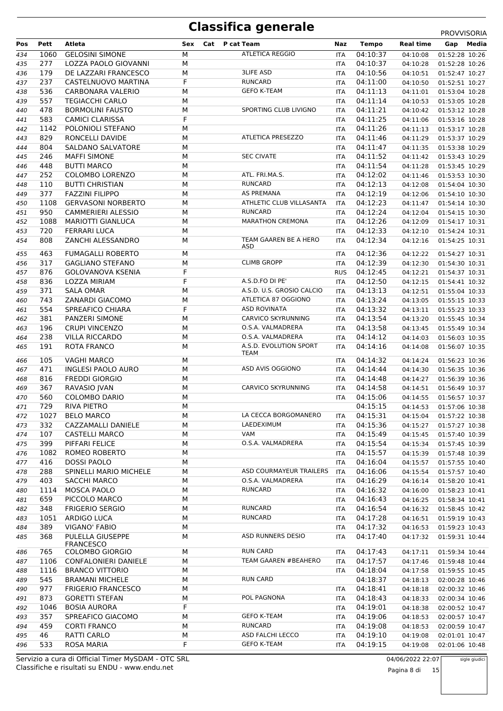|     |      |                           |     |                           |            |              |                  | <b>PROVVISORIA</b> |
|-----|------|---------------------------|-----|---------------------------|------------|--------------|------------------|--------------------|
| Pos | Pett | Atleta                    | Sex | Cat P cat Team            | Naz        | <b>Tempo</b> | <b>Real time</b> | Media<br>Gap       |
| 434 | 1060 | <b>GELOSINI SIMONE</b>    | М   | <b>ATLETICA REGGIO</b>    | <b>ITA</b> | 04:10:37     | 04:10:08         | 01:52:28 10:26     |
| 435 | 277  | LOZZA PAOLO GIOVANNI      | М   |                           | <b>ITA</b> | 04:10:37     | 04:10:28         | 01:52:28 10:26     |
| 436 | 179  | DE LAZZARI FRANCESCO      | М   | <b>3LIFE ASD</b>          | <b>ITA</b> | 04:10:56     | 04:10:51         | 01:52:47 10:27     |
| 437 | 237  | CASTELNUOVO MARTINA       | F   | <b>RUNCARD</b>            | <b>ITA</b> | 04:11:00     | 04:10:50         | 01:52:51 10:27     |
| 438 | 536  | CARBONARA VALERIO         | М   | <b>GEFO K-TEAM</b>        | <b>ITA</b> | 04:11:13     | 04:11:01         | 01:53:04 10:28     |
| 439 | 557  | <b>TEGIACCHI CARLO</b>    | M   |                           | ITA        | 04:11:14     | 04:10:53         | 01:53:05 10:28     |
| 440 | 478  | <b>BORMOLINI FAUSTO</b>   | M   | SPORTING CLUB LIVIGNO     | <b>ITA</b> | 04:11:21     | 04:10:42         | 01:53:12 10:28     |
| 441 | 583  | <b>CAMICI CLARISSA</b>    | F   |                           | <b>ITA</b> | 04:11:25     | 04:11:06         | 01:53:16 10:28     |
| 442 | 1142 | POLONIOLI STEFANO         | М   |                           | ITA        | 04:11:26     | 04:11:13         | 01:53:17 10:28     |
| 443 | 829  | RONCELLI DAVIDE           | M   | <b>ATLETICA PRESEZZO</b>  | <b>ITA</b> | 04:11:46     | 04:11:29         | 01:53:37 10:29     |
| 444 | 804  | <b>SALDANO SALVATORE</b>  | M   |                           | ITA        | 04:11:47     | 04:11:35         | 01:53:38 10:29     |
|     | 246  | <b>MAFFI SIMONE</b>       | M   | <b>SEC CIVATE</b>         |            | 04:11:52     |                  |                    |
| 445 |      |                           |     |                           | <b>ITA</b> |              | 04:11:42         | 01:53:43 10:29     |
| 446 | 448  | <b>BUTTI MARCO</b>        | M   |                           | <b>ITA</b> | 04:11:54     | 04:11:28         | 01:53:45 10:29     |
| 447 | 252  | <b>COLOMBO LORENZO</b>    | M   | ATL. FRI.MA.S.            | <b>ITA</b> | 04:12:02     | 04:11:46         | 01:53:53 10:30     |
| 448 | 110  | <b>BUTTI CHRISTIAN</b>    | М   | <b>RUNCARD</b>            | <b>ITA</b> | 04:12:13     | 04:12:08         | 01:54:04 10:30     |
| 449 | 377  | <b>FAZZINI FILIPPO</b>    | M   | AS PREMANA                | <b>ITA</b> | 04:12:19     | 04:12:06         | 01:54:10 10:30     |
| 450 | 1108 | <b>GERVASONI NORBERTO</b> | M   | ATHLETIC CLUB VILLASANTA  | <b>ITA</b> | 04:12:23     | 04:11:47         | 01:54:14 10:30     |
| 451 | 950  | <b>CAMMERIERI ALESSIO</b> | M   | <b>RUNCARD</b>            | ITA        | 04:12:24     | 04:12:04         | 01:54:15 10:30     |
| 452 | 1088 | <b>MARIOTTI GIANLUCA</b>  | M   | <b>MARATHON CREMONA</b>   | <b>ITA</b> | 04:12:26     | 04:12:09         | 01:54:17 10:31     |
| 453 | 720  | <b>FERRARI LUCA</b>       | М   |                           | <b>ITA</b> | 04:12:33     | 04:12:10         | 01:54:24 10:31     |
| 454 | 808  | ZANCHI ALESSANDRO         | М   | TEAM GAAREN BE A HERO     | ITA        | 04:12:34     | 04:12:16         | 01:54:25 10:31     |
|     | 463  | <b>FUMAGALLI ROBERTO</b>  | M   | ASD                       |            | 04:12:36     |                  |                    |
| 455 |      |                           |     |                           | <b>ITA</b> |              | 04:12:22         | 01:54:27 10:31     |
| 456 | 317  | <b>GAGLIANO STEFANO</b>   | M   | <b>CLIMB GROPP</b>        | ITA        | 04:12:39     | 04:12:30         | 01:54:30 10:31     |
| 457 | 876  | GOLOVANOVA KSENIA         | F   |                           | <b>RUS</b> | 04:12:45     | 04:12:21         | 01:54:37 10:31     |
| 458 | 836  | LOZZA MIRIAM              | F   | A.S.D.FO DI PE'           | <b>ITA</b> | 04:12:50     | 04:12:15         | 01:54:41 10:32     |
| 459 | 371  | <b>SALA OMAR</b>          | М   | A.S.D. U.S. GROSIO CALCIO | ITA        | 04:13:13     | 04:12:51         | 01:55:04 10:33     |
| 460 | 743  | ZANARDI GIACOMO           | M   | ATLETICA 87 OGGIONO       | <b>ITA</b> | 04:13:24     | 04:13:05         | 01:55:15 10:33     |
| 461 | 554  | SPREAFICO CHIARA          | F   | <b>ASD ROVINATA</b>       | <b>ITA</b> | 04:13:32     | 04:13:11         | 01:55:23 10:33     |
| 462 | 381  | PANZERI SIMONE            | M   | <b>CARVICO SKYRUNNING</b> | ITA        | 04:13:54     | 04:13:20         | 01:55:45 10:34     |
| 463 | 196  | <b>CRUPI VINCENZO</b>     | M   | O.S.A. VALMADRERA         | <b>ITA</b> | 04:13:58     | 04:13:45         | 01:55:49 10:34     |
| 464 | 238  | <b>VILLA RICCARDO</b>     | М   | O.S.A. VALMADRERA         | <b>ITA</b> | 04:14:12     | 04:14:03         | 01:56:03 10:35     |
| 465 | 191  | <b>ROTA FRANCO</b>        | М   | A.S.D. EVOLUTION SPORT    | ITA        | 04:14:16     | 04:14:08         | 01:56:07 10:35     |
|     | 105  | <b>VAGHI MARCO</b>        | М   | TEAM                      |            | 04:14:32     | 04:14:24         | 01:56:23 10:36     |
| 466 | 471  | <b>INGLESI PAOLO AURO</b> | M   | ASD AVIS OGGIONO          | <b>ITA</b> | 04:14:44     |                  |                    |
| 467 |      |                           |     |                           | ITA        |              | 04:14:30         | 01:56:35 10:36     |
| 468 | 816  | <b>FREDDI GIORGIO</b>     | M   |                           | <b>ITA</b> | 04:14:48     | 04:14:27         | 01:56:39 10:36     |
| 469 | 367  | RAVASIO JVAN              | M   | CARVICO SKYRUNNING        | <b>ITA</b> | 04:14:58     | 04:14:51         | 01:56:49 10:37     |
| 470 | 560  | <b>COLOMBO DARIO</b>      | M   |                           | <b>ITA</b> | 04:15:06     | 04:14:55         | 01:56:57 10:37     |
| 471 | 729  | RIVA PIETRO               | M   |                           |            | 04:15:15     | 04:14:53         | 01:57:06 10:38     |
| 472 | 1027 | <b>BELO MARCO</b>         | М   | LA CECCA BORGOMANERO      | <b>ITA</b> | 04:15:31     | 04:15:04         | 01:57:22 10:38     |
| 473 | 332  | CAZZAMALLI DANIELE        | М   | LAEDEXIMUM                | ITA        | 04:15:36     | 04:15:27         | 01:57:27 10:38     |
| 474 | 107  | <b>CASTELLI MARCO</b>     | М   | VAM                       | ITA        | 04:15:49     | 04:15:45         | 01:57:40 10:39     |
| 475 | 399  | PIFFARI FELICE            | М   | O.S.A. VALMADRERA         | <b>ITA</b> | 04:15:54     | 04:15:34         | 01:57:45 10:39     |
| 476 | 1082 | ROMEO ROBERTO             | М   |                           | ITA        | 04:15:57     | 04:15:39         | 01:57:48 10:39     |
| 477 | 416  | <b>DOSSI PAOLO</b>        | М   |                           | <b>ITA</b> | 04:16:04     | 04:15:57         | 01:57:55 10:40     |
| 478 | 288  | SPINELLI MARIO MICHELE    | М   | ASD COURMAYEUR TRAILERS   | <b>ITA</b> | 04:16:06     | 04:15:54         | 01:57:57 10:40     |
| 479 | 403  | <b>SACCHI MARCO</b>       | М   | O.S.A. VALMADRERA         | ITA        | 04:16:29     | 04:16:14         | 01:58:20 10:41     |
| 480 | 1114 | MOSCA PAOLO               | M   | <b>RUNCARD</b>            | ITA        | 04:16:32     | 04:16:00         | 01:58:23 10:41     |
| 481 | 659  | PICCOLO MARCO             | М   |                           | <b>ITA</b> | 04:16:43     | 04:16:25         | 01:58:34 10:41     |
| 482 | 348  | <b>FRIGERIO SERGIO</b>    | М   | <b>RUNCARD</b>            | <b>ITA</b> | 04:16:54     | 04:16:32         | 01:58:45 10:42     |
| 483 | 1051 | <b>ARDIGO LUCA</b>        | М   | <b>RUNCARD</b>            | <b>ITA</b> | 04:17:28     | 04:16:51         | 01:59:19 10:43     |
| 484 | 389  | VIGANO' FABIO             | М   |                           | ITA        | 04:17:32     | 04:16:53         | 01:59:23 10:43     |
| 485 | 368  | PULELLA GIUSEPPE          | М   | <b>ASD RUNNERS DESIO</b>  | ITA        | 04:17:40     | 04:17:32         | 01:59:31 10:44     |
|     |      | <b>FRANCESCO</b>          |     |                           |            |              |                  |                    |
| 486 | 765  | <b>COLOMBO GIORGIO</b>    | М   | <b>RUN CARD</b>           | ITA        | 04:17:43     | 04:17:11         | 01:59:34 10:44     |
| 487 | 1106 | CONFALONIERI DANIELE      | М   | TEAM GAAREN #BEAHERO      | <b>ITA</b> | 04:17:57     | 04:17:46         | 01:59:48 10:44     |
| 488 | 1116 | <b>BRANCO VITTORIO</b>    | М   |                           | ITA        | 04:18:04     | 04:17:58         | 01:59:55 10:45     |
| 489 | 545  | <b>BRAMANI MICHELE</b>    | М   | <b>RUN CARD</b>           |            | 04:18:37     | 04:18:13         | 02:00:28 10:46     |
| 490 | 977  | <b>FRIGERIO FRANCESCO</b> | М   |                           | <b>ITA</b> | 04:18:41     | 04:18:18         | 02:00:32 10:46     |
| 491 | 873  | <b>GORETTI STEFAN</b>     | М   | POL PAGNONA               | ITA        | 04:18:43     | 04:18:33         | 02:00:34 10:46     |
| 492 | 1046 | <b>BOSIA AURORA</b>       | F   |                           | <b>ITA</b> | 04:19:01     | 04:18:38         | 02:00:52 10:47     |
| 493 | 357  | SPREAFICO GIACOMO         | М   | <b>GEFO K-TEAM</b>        | <b>ITA</b> | 04:19:06     | 04:18:53         | 02:00:57 10:47     |
| 494 | 459  | <b>CORTI FRANCO</b>       | М   | RUNCARD                   | <b>ITA</b> | 04:19:08     | 04:18:53         | 02:00:59 10:47     |
| 495 | 46   | RATTI CARLO               | М   | ASD FALCHI LECCO          | ITA        | 04:19:10     | 04:19:08         | 02:01:01 10:47     |
| 496 | 533  | ROSA MARIA                | F   | <b>GEFO K-TEAM</b>        | <b>ITA</b> | 04:19:15     | 04:19:08         | 02:01:06 10:48     |

Classifiche e risultati su ENDU - www.endu.net Servizio a cura di Official Timer MySDAM - OTC SRL 04/06/2022 22:07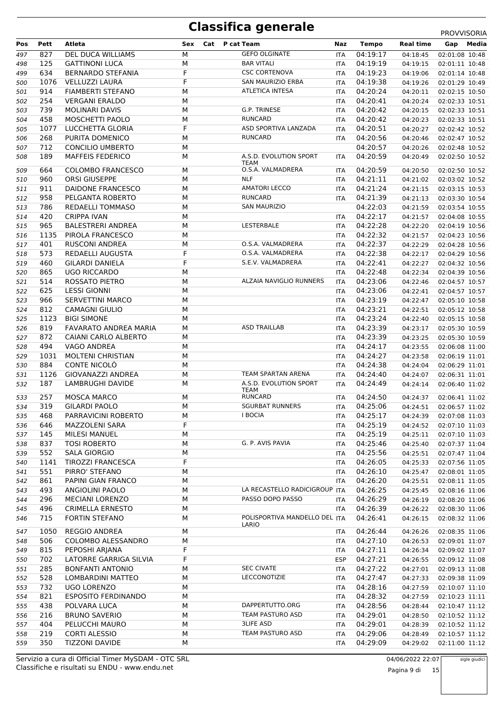| Pos<br>Pett<br>Atleta<br>827<br>497<br>125<br>498<br>634<br>499<br>1076<br>500<br>914<br>501<br>254<br>502<br><b>VERGANI ERALDO</b><br>739<br><b>MOLINARI DAVIS</b><br>503<br>458<br>504<br>1077 | <b>DEL DUCA WILLIAMS</b> |     |                                       |            |              |                  |                |
|--------------------------------------------------------------------------------------------------------------------------------------------------------------------------------------------------|--------------------------|-----|---------------------------------------|------------|--------------|------------------|----------------|
|                                                                                                                                                                                                  |                          | Sex | Cat P cat Team                        | Naz        | <b>Tempo</b> | <b>Real time</b> | Gap Media      |
|                                                                                                                                                                                                  |                          | M   | <b>GEFO OLGINATE</b>                  | <b>ITA</b> | 04:19:17     | 04:18:45         | 02:01:08 10:48 |
|                                                                                                                                                                                                  | <b>GATTINONI LUCA</b>    | М   | <b>BAR VITALI</b>                     | <b>ITA</b> | 04:19:19     | 04:19:15         | 02:01:11 10:48 |
|                                                                                                                                                                                                  | <b>BERNARDO STEFANIA</b> | F   | <b>CSC CORTENOVA</b>                  | <b>ITA</b> | 04:19:23     | 04:19:06         | 02:01:14 10:48 |
|                                                                                                                                                                                                  | <b>VELLUZZI LAURA</b>    | F   | <b>SAN MAURIZIO ERBA</b>              | <b>ITA</b> | 04:19:38     | 04:19:26         | 02:01:29 10:49 |
|                                                                                                                                                                                                  | FIAMBERTI STEFANO        | М   | ATLETICA INTESA                       | <b>ITA</b> | 04:20:24     | 04:20:11         | 02:02:15 10:50 |
|                                                                                                                                                                                                  |                          | М   |                                       | <b>ITA</b> | 04:20:41     | 04:20:24         | 02:02:33 10:51 |
|                                                                                                                                                                                                  |                          | M   | G.P. TRINESE                          | <b>ITA</b> | 04:20:42     |                  | 02:02:33 10:51 |
|                                                                                                                                                                                                  |                          |     | <b>RUNCARD</b>                        |            |              | 04:20:15         |                |
|                                                                                                                                                                                                  | MOSCHETTI PAOLO          | М   |                                       | ITA        | 04:20:42     | 04:20:23         | 02:02:33 10:51 |
| 505                                                                                                                                                                                              | LUCCHETTA GLORIA         | F   | ASD SPORTIVA LANZADA                  | ITA        | 04:20:51     | 04:20:27         | 02:02:42 10:52 |
| 268<br>506                                                                                                                                                                                       | PURITA DOMENICO          | M   | <b>RUNCARD</b>                        | ITA        | 04:20:56     | 04:20:46         | 02:02:47 10:52 |
| 712<br>507                                                                                                                                                                                       | <b>CONCILIO UMBERTO</b>  | М   |                                       |            | 04:20:57     | 04:20:26         | 02:02:48 10:52 |
| 189<br>508                                                                                                                                                                                       | <b>MAFFEIS FEDERICO</b>  | М   | A.S.D. EVOLUTION SPORT                | <b>ITA</b> | 04:20:59     | 04:20:49         | 02:02:50 10:52 |
| 664<br>509                                                                                                                                                                                       | <b>COLOMBO FRANCESCO</b> | М   | TEAM<br>O.S.A. VALMADRERA             | <b>ITA</b> | 04:20:59     | 04:20:50         |                |
|                                                                                                                                                                                                  |                          |     | <b>NLF</b>                            |            |              |                  | 02:02:50 10:52 |
| 960<br>510                                                                                                                                                                                       | ORSI GIUSEPPE            | M   |                                       | ITA        | 04:21:11     | 04:21:02         | 02:03:02 10:52 |
| 911<br>511                                                                                                                                                                                       | DAIDONE FRANCESCO        | M   | <b>AMATORI LECCO</b>                  | <b>ITA</b> | 04:21:24     | 04:21:15         | 02:03:15 10:53 |
| 958<br>512                                                                                                                                                                                       | PELGANTA ROBERTO         | М   | <b>RUNCARD</b>                        | <b>ITA</b> | 04:21:39     | 04:21:13         | 02:03:30 10:54 |
| 513<br>786                                                                                                                                                                                       | REDAELLI TOMMASO         | M   | <b>SAN MAURIZIO</b>                   |            | 04:22:03     | 04:21:59         | 02:03:54 10:55 |
| 420<br>CRIPPA IVAN<br>514                                                                                                                                                                        |                          | M   |                                       | ITA        | 04:22:17     | 04:21:57         | 02:04:08 10:55 |
| 965<br>515                                                                                                                                                                                       | <b>BALESTRERI ANDREA</b> | М   | LESTERBALE                            | <b>ITA</b> | 04:22:28     | 04:22:20         | 02:04:19 10:56 |
| 1135<br>516                                                                                                                                                                                      | PIROLA FRANCESCO         | M   |                                       | ITA        | 04:22:32     | 04:21:57         | 02:04:23 10:56 |
| 401<br>517                                                                                                                                                                                       | <b>RUSCONI ANDREA</b>    | M   | O.S.A. VALMADRERA                     | <b>ITA</b> | 04:22:37     | 04:22:29         | 02:04:28 10:56 |
| 573<br>518                                                                                                                                                                                       | REDAELLI AUGUSTA         | F   | O.S.A. VALMADRERA                     | <b>ITA</b> | 04:22:38     | 04:22:17         | 02:04:29 10:56 |
| 460<br>519                                                                                                                                                                                       | <b>GILARDI DANIELA</b>   | F   | S.E.V. VALMADRERA                     | <b>ITA</b> | 04:22:41     | 04:22:27         | 02:04:32 10:56 |
| 865<br>520                                                                                                                                                                                       | <b>UGO RICCARDO</b>      | M   |                                       | ITA        | 04:22:48     | 04:22:34         | 02:04:39 10:56 |
| 514                                                                                                                                                                                              |                          |     | ALZAIA NAVIGLIO RUNNERS               |            |              |                  |                |
| 521                                                                                                                                                                                              | ROSSATO PIETRO           | М   |                                       | <b>ITA</b> | 04:23:06     | 04:22:46         | 02:04:57 10:57 |
| 625<br><b>LESSI GIONNI</b><br>522                                                                                                                                                                |                          | M   |                                       | ITA        | 04:23:06     | 04:22:41         | 02:04:57 10:57 |
| 966<br>523                                                                                                                                                                                       | <b>SERVETTINI MARCO</b>  | M   |                                       | ITA        | 04:23:19     | 04:22:47         | 02:05:10 10:58 |
| 812<br>524                                                                                                                                                                                       | <b>CAMAGNI GIULIO</b>    | M   |                                       | <b>ITA</b> | 04:23:21     | 04:22:51         | 02:05:12 10:58 |
| 1123<br><b>BIGI SIMONE</b><br>525                                                                                                                                                                |                          | M   |                                       | ITA        | 04:23:24     | 04:22:40         | 02:05:15 10:58 |
| 819<br>526                                                                                                                                                                                       | FAVARATO ANDREA MARIA    | M   | <b>ASD TRAILLAB</b>                   | <b>ITA</b> | 04:23:39     | 04:23:17         | 02:05:30 10:59 |
| 872<br>527                                                                                                                                                                                       | CAIANI CARLO ALBERTO     | М   |                                       | <b>ITA</b> | 04:23:39     | 04:23:25         | 02:05:30 10:59 |
| 494<br>528                                                                                                                                                                                       | VAGO ANDREA              | M   |                                       | <b>ITA</b> | 04:24:17     | 04:23:55         | 02:06:08 11:00 |
| 1031<br>529                                                                                                                                                                                      | <b>MOLTENI CHRISTIAN</b> | M   |                                       | ITA        | 04:24:27     | 04:23:58         | 02:06:19 11:01 |
| 884<br>530                                                                                                                                                                                       | CONTE NICOLO             | M   |                                       | <b>ITA</b> | 04:24:38     | 04:24:04         | 02:06:29 11:01 |
|                                                                                                                                                                                                  | GIOVANAZZI ANDREA        | M   | TEAM SPARTAN ARENA                    | <b>ITA</b> |              |                  |                |
|                                                                                                                                                                                                  | LAMBRUGHI DAVIDE         |     |                                       |            |              |                  |                |
| 1126<br>531                                                                                                                                                                                      |                          |     |                                       |            | 04:24:40     | 04:24:07         | 02:06:31 11:01 |
| 187<br>532                                                                                                                                                                                       |                          | M   | A.S.D. EVOLUTION SPORT<br><b>TEAM</b> | ITA        | 04:24:49     | 04:24:14         | 02:06:40 11:02 |
| 257<br>533                                                                                                                                                                                       | <b>MOSCA MARCO</b>       | M   | <b>RUNCARD</b>                        | ITA        | 04:24:50     | 04:24:37         | 02:06:41 11:02 |
| 319<br>534                                                                                                                                                                                       | <b>GILARDI PAOLO</b>     | M   | <b>SGURBAT RUNNERS</b>                | ITA        | 04:25:06     | 04:24:51         | 02:06:57 11:02 |
|                                                                                                                                                                                                  |                          |     | <b>I BOCIA</b>                        |            |              |                  |                |
| 535<br>468                                                                                                                                                                                       | PARRAVICINI ROBERTO      | М   |                                       | ITA        | 04:25:17     | 04:24:39         | 02:07:08 11:03 |
| 646<br>536                                                                                                                                                                                       | MAZZOLENI SARA           | F   |                                       | ITA        | 04:25:19     | 04:24:52         | 02:07:10 11:03 |
| 145<br>537                                                                                                                                                                                       | MILESI MANUEL            | М   |                                       | ITA        | 04:25:19     | 04:25:11         | 02:07:10 11:03 |
| 837<br>538                                                                                                                                                                                       | <b>TOSI ROBERTO</b>      | М   | G. P. AVIS PAVIA                      | <b>ITA</b> | 04:25:46     | 04:25:40         | 02:07:37 11:04 |
| 552<br>539                                                                                                                                                                                       | SALA GIORGIO             | M   |                                       | ITA        | 04:25:56     | 04:25:51         | 02:07:47 11:04 |
| 1141<br>540                                                                                                                                                                                      | <b>TIROZZI FRANCESCA</b> | F   |                                       | ITA        | 04:26:05     | 04:25:33         | 02:07:56 11:05 |
| 551<br>541                                                                                                                                                                                       | PIRRO' STEFANO           | М   |                                       | <b>ITA</b> | 04:26:10     | 04:25:47         | 02:08:01 11:05 |
| 861<br>542                                                                                                                                                                                       | PAPINI GIAN FRANCO       | М   |                                       | ITA        | 04:26:20     | 04:25:51         | 02:08:11 11:05 |
| 493<br>543                                                                                                                                                                                       | ANGIOLINI PAOLO          | М   | LA RECASTELLO RADICIGROUP ITA         |            | 04:26:25     | 04:25:45         | 02:08:16 11:06 |
| 296<br>544                                                                                                                                                                                       | <b>MECIANI LORENZO</b>   | M   | PASSO DOPO PASSO                      | <b>ITA</b> | 04:26:29     | 04:26:19         | 02:08:20 11:06 |
| 496<br>545                                                                                                                                                                                       | <b>CRIMELLA ERNESTO</b>  | М   |                                       | ITA        | 04:26:39     | 04:26:22         | 02:08:30 11:06 |
| 715<br>546                                                                                                                                                                                       | <b>FORTIN STEFANO</b>    | М   | POLISPORTIVA MANDELLO DEL ITA         |            | 04:26:41     | 04:26:15         | 02:08:32 11:06 |
| 1050<br>547                                                                                                                                                                                      | <b>REGGIO ANDREA</b>     | M   | LARIO                                 | ITA        |              | 04:26:26         | 02:08:35 11:06 |
|                                                                                                                                                                                                  |                          |     |                                       |            | 04:26:44     |                  |                |
| 506<br>548                                                                                                                                                                                       | COLOMBO ALESSANDRO       | M   |                                       | ITA        | 04:27:10     | 04:26:53         | 02:09:01 11:07 |
| 815<br>549                                                                                                                                                                                       | PEPOSHI ARJANA           | F   |                                       | ITA        | 04:27:11     | 04:26:34         | 02:09:02 11:07 |
| 702<br>550                                                                                                                                                                                       | LATORRE GARRIGA SILVIA   | F   |                                       | <b>ESP</b> | 04:27:21     | 04:26:55         | 02:09:12 11:08 |
| 285<br>551                                                                                                                                                                                       | <b>BONFANTI ANTONIO</b>  | М   | <b>SEC CIVATE</b>                     | ITA        | 04:27:22     | 04:27:01         | 02:09:13 11:08 |
| 552<br>528                                                                                                                                                                                       | LOMBARDINI MATTEO        | М   | LECCONOTIZIE                          | ITA        | 04:27:47     | 04:27:33         | 02:09:38 11:09 |
| 732<br>553                                                                                                                                                                                       | <b>UGO LORENZO</b>       | M   |                                       | ITA        | 04:28:16     | 04:27:59         | 02:10:07 11:10 |
| 821<br>554                                                                                                                                                                                       | ESPOSITO FERDINANDO      | M   |                                       | ITA        | 04:28:32     | 04:27:59         | 02:10:23 11:11 |
| 438<br>555                                                                                                                                                                                       | POLVARA LUCA             | М   | DAPPERTUTTO.ORG                       | ITA        | 04:28:56     | 04:28:44         | 02:10:47 11:12 |
| 216<br>556                                                                                                                                                                                       | <b>BRUNO SAVERIO</b>     | М   | TEAM PASTURO ASD                      | ITA        | 04:29:01     | 04:28:50         | 02:10:52 11:12 |
| 404<br>557                                                                                                                                                                                       | PELUCCHI MAURO           | M   | <b>3LIFE ASD</b>                      | ITA        | 04:29:01     | 04:28:39         | 02:10:52 11:12 |
| 219<br>558                                                                                                                                                                                       | <b>CORTI ALESSIO</b>     | М   | TEAM PASTURO ASD                      | ITA        | 04:29:06     | 04:28:49         | 02:10:57 11:12 |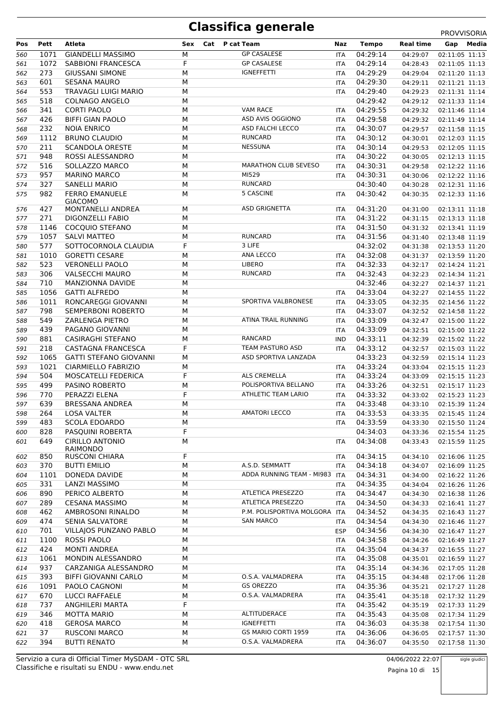|     |      |                                   |             |                               |            |              |                  | <b>PROVVISORIA</b> |
|-----|------|-----------------------------------|-------------|-------------------------------|------------|--------------|------------------|--------------------|
| Pos | Pett | Atleta                            | Sex         | Cat<br>P cat Team             | Naz        | <b>Tempo</b> | <b>Real time</b> | Media<br>Gap       |
| 560 | 1071 | <b>GIANDELLI MASSIMO</b>          | М           | <b>GP CASALESE</b>            | <b>ITA</b> | 04:29:14     | 04:29:07         | 02:11:05 11:13     |
| 561 | 1072 | <b>SABBIONI FRANCESCA</b>         | F           | <b>GP CASALESE</b>            | <b>ITA</b> | 04:29:14     | 04:28:43         | 02:11:05 11:13     |
| 562 | 273  | <b>GIUSSANI SIMONE</b>            | М           | <b>IGNEFFETTI</b>             | <b>ITA</b> | 04:29:29     | 04:29:04         | 02:11:20 11:13     |
| 563 | 601  | <b>SESANA MAURO</b>               | М           |                               | <b>ITA</b> | 04:29:30     | 04:29:11         | 02:11:21 11:13     |
| 564 | 553  | <b>TRAVAGLI LUIGI MARIO</b>       | M           |                               | <b>ITA</b> | 04:29:40     | 04:29:23         | 02:11:31 11:14     |
| 565 | 518  | <b>COLNAGO ANGELO</b>             | M           |                               |            | 04:29:42     | 04:29:12         | 02:11:33 11:14     |
| 566 | 341  | <b>CORTI PAOLO</b>                | М           | <b>VAM RACE</b>               | ITA        | 04:29:55     | 04:29:32         | 02:11:46 11:14     |
| 567 | 426  | <b>BIFFI GIAN PAOLO</b>           | M           | ASD AVIS OGGIONO              | <b>ITA</b> | 04:29:58     | 04:29:32         | 02:11:49 11:14     |
| 568 | 232  | <b>NOIA ENRICO</b>                | M           | ASD FALCHI LECCO              | <b>ITA</b> | 04:30:07     | 04:29:57         | 02:11:58 11:15     |
| 569 | 1112 | <b>BRUNO CLAUDIO</b>              | M           | <b>RUNCARD</b>                | ITA        | 04:30:12     | 04:30:01         | 02:12:03 11:15     |
| 570 | 211  | <b>SCANDOLA ORESTE</b>            | M           | <b>NESSUNA</b>                | ITA        | 04:30:14     | 04:29:53         | 02:12:05 11:15     |
| 571 | 948  | ROSSI ALESSANDRO                  | M           |                               | <b>ITA</b> | 04:30:22     | 04:30:05         | 02:12:13 11:15     |
| 572 | 516  | SOLLAZZO MARCO                    | M           | <b>MARATHON CLUB SEVESO</b>   | ITA        | 04:30:31     | 04:29:58         | 02:12:22 11:16     |
| 573 | 957  | <b>MARINO MARCO</b>               | M           | MI529                         | <b>ITA</b> | 04:30:31     | 04:30:06         | 02:12:22 11:16     |
| 574 | 327  | <b>SANELLI MARIO</b>              | M           | <b>RUNCARD</b>                |            | 04:30:40     | 04:30:28         | 02:12:31 11:16     |
| 575 | 982  | <b>FERRO EMANUELE</b>             | М           | 5 CASCINE                     | ITA        | 04:30:42     | 04:30:35         | 02:12:33 11:16     |
|     |      | <b>GIACOMO</b>                    |             |                               |            |              |                  |                    |
| 576 | 427  | MONTANELLI ANDREA                 | М           | <b>ASD GRIGNETTA</b>          | ITA        | 04:31:20     | 04:31:00         | 02:13:11 11:18     |
| 577 | 271  | <b>DIGONZELLI FABIO</b>           | M           |                               | ITA        | 04:31:22     | 04:31:15         | 02:13:13 11:18     |
| 578 | 1146 | COCOUIO STEFANO                   | M           |                               | ITA        | 04:31:50     | 04:31:32         | 02:13:41 11:19     |
| 579 | 1057 | <b>SALVI MATTEO</b>               | M           | <b>RUNCARD</b>                | ITA        | 04:31:56     | 04:31:40         | 02:13:48 11:19     |
| 580 | 577  | SOTTOCORNOLA CLAUDIA              | F           | 3 LIFE                        |            | 04:32:02     | 04:31:38         | 02:13:53 11:20     |
| 581 | 1010 | <b>GORETTI CESARE</b>             | M           | ANA LECCO                     | ITA        | 04:32:08     | 04:31:37         | 02:13:59 11:20     |
| 582 | 523  | <b>VERONELLI PAOLO</b>            | M           | LIBERO                        | ITA        | 04:32:33     | 04:32:17         | 02:14:24 11:21     |
| 583 | 306  | <b>VALSECCHI MAURO</b>            | M           | <b>RUNCARD</b>                | <b>ITA</b> | 04:32:43     | 04:32:23         | 02:14:34 11:21     |
| 584 | 710  | MANZIONNA DAVIDE                  | M           |                               |            | 04:32:46     | 04:32:27         | 02:14:37 11:21     |
| 585 | 1056 | <b>GATTI ALFREDO</b>              | M           |                               | <b>ITA</b> | 04:33:04     | 04:32:27         | 02:14:55 11:22     |
| 586 | 1011 | RONCAREGGI GIOVANNI               | M           | SPORTIVA VALBRONESE           | ITA        | 04:33:05     | 04:32:35         | 02:14:56 11:22     |
| 587 | 798  | SEMPERBONI ROBERTO                | М           |                               | ITA        | 04:33:07     | 04:32:52         | 02:14:58 11:22     |
| 588 | 549  | ZARLENGA PIETRO                   | M           | ATINA TRAIL RUNNING           | ITA        | 04:33:09     | 04:32:47         | 02:15:00 11:22     |
| 589 | 439  | PAGANO GIOVANNI                   | M           |                               | ITA        | 04:33:09     | 04:32:51         | 02:15:00 11:22     |
| 590 | 881  | <b>CASIRAGHI STEFANO</b>          | M           | RANCARD                       | <b>IND</b> | 04:33:11     | 04:32:39         | 02:15:02 11:22     |
| 591 | 218  | <b>CASTAGNA FRANCESCA</b>         | F           | TEAM PASTURO ASD              | <b>ITA</b> | 04:33:12     | 04:32:57         | 02:15:03 11:22     |
|     | 1065 | <b>GATTI STEFANO GIOVANNI</b>     | М           | ASD SPORTIVA LANZADA          |            | 04:33:23     |                  |                    |
| 592 |      |                                   |             |                               |            |              | 04:32:59         | 02:15:14 11:23     |
| 593 | 1021 | CIARMIELLO FABRIZIO               | М           | <b>ALS CREMELLA</b>           | ITA        | 04:33:24     | 04:33:04         | 02:15:15 11:23     |
| 594 | 504  | MOSCATELLI FEDERICA               | $\mathsf F$ | POLISPORTIVA BELLANO          | ITA        | 04:33:24     | 04:33:09         | 02:15:15 11:23     |
| 595 | 499  | <b>PASINO ROBERTO</b>             | M           | <b>ATHLETIC TEAM LARIO</b>    | ITA        | 04:33:26     | 04:32:51         | 02:15:17 11:23     |
| 596 | 770  | PERAZZI ELENA                     | F           |                               | <b>ITA</b> | 04:33:32     | 04:33:02         | 02:15:23 11:23     |
| 597 | 639  | <b>BRESSANA ANDREA</b>            | М           |                               | ITA        | 04:33:48     | 04:33:10         | 02:15:39 11:24     |
| 598 | 264  | LOSA VALTER                       | М           | <b>AMATORI LECCO</b>          | ITA        | 04:33:53     | 04:33:35         | 02:15:45 11:24     |
| 599 | 483  | <b>SCOLA EDOARDO</b>              | М           |                               | ITA        | 04:33:59     | 04:33:30         | 02:15:50 11:24     |
| 600 | 828  | PASQUINI ROBERTA                  | $\mathsf F$ |                               |            | 04:34:03     | 04:33:36         | 02:15:54 11:25     |
| 601 | 649  | <b>CIRILLO ANTONIO</b>            | М           |                               | <b>ITA</b> | 04:34:08     | 04:33:43         | 02:15:59 11:25     |
| 602 | 850  | RAIMONDO<br><b>RUSCONI CHIARA</b> | F           |                               | ITA        | 04:34:15     | 04:34:10         | 02:16:06 11:25     |
| 603 | 370  | <b>BUTTI EMILIO</b>               | М           | A.S.D. SEMMATT                | ITA        | 04:34:18     | 04:34:07         | 02:16:09 11:25     |
| 604 | 1101 | DONEDA DAVIDE                     | М           | ADDA RUNNING TEAM - MI983     | <b>ITA</b> | 04:34:31     | 04:34:00         | 02:16:22 11:26     |
| 605 | 331  | LANZI MASSIMO                     | М           |                               | <b>ITA</b> | 04:34:35     | 04:34:04         | 02:16:26 11:26     |
| 606 | 890  | PERICO ALBERTO                    | М           | ATLETICA PRESEZZO             | ITA        | 04:34:47     | 04:34:30         | 02:16:38 11:26     |
| 607 | 289  | <b>CESANA MASSIMO</b>             | М           | ATLETICA PRESEZZO             | ITA        | 04:34:50     | 04:34:33         | 02:16:41 11:27     |
|     | 462  | AMBROSONI RINALDO                 | М           | P.M. POLISPORTIVA MOLGORA ITA |            | 04:34:52     |                  |                    |
| 608 | 474  | <b>SENIA SALVATORE</b>            | М           | <b>SAN MARCO</b>              |            | 04:34:54     | 04:34:35         | 02:16:43 11:27     |
| 609 |      |                                   |             |                               | <b>ITA</b> |              | 04:34:30         | 02:16:46 11:27     |
| 610 | 701  | VILLAJOS PUNZANO PABLO            | М           |                               | <b>ESP</b> | 04:34:56     | 04:34:30         | 02:16:47 11:27     |
| 611 | 1100 | ROSSI PAOLO                       | М           |                               | ITA        | 04:34:58     | 04:34:26         | 02:16:49 11:27     |
| 612 | 424  | <b>MONTI ANDREA</b>               | М           |                               | <b>ITA</b> | 04:35:04     | 04:34:37         | 02:16:55 11:27     |
| 613 | 1061 | MONDIN ALESSANDRO                 | М           |                               | <b>ITA</b> | 04:35:08     | 04:35:01         | 02:16:59 11:27     |
| 614 | 937  | CARZANIGA ALESSANDRO              | М           |                               | ITA        | 04:35:14     | 04:34:36         | 02:17:05 11:28     |
| 615 | 393  | <b>BIFFI GIOVANNI CARLO</b>       | М           | O.S.A. VALMADRERA             | ITA        | 04:35:15     | 04:34:48         | 02:17:06 11:28     |
| 616 | 1091 | PAOLO CAGNONI                     | М           | <b>GS OREZZO</b>              | ITA        | 04:35:36     | 04:35:21         | 02:17:27 11:28     |
| 617 | 670  | LUCCI RAFFAELE                    | М           | O.S.A. VALMADRERA             | ITA        | 04:35:41     | 04:35:18         | 02:17:32 11:29     |
| 618 | 737  | ANGHILERI MARTA                   | F           |                               | ITA        | 04:35:42     | 04:35:19         | 02:17:33 11:29     |
| 619 | 346  | <b>MOTTA MARIO</b>                | М           | ALTITUDERACE                  | ITA        | 04:35:43     | 04:35:08         | 02:17:34 11:29     |
| 620 | 418  | <b>GEROSA MARCO</b>               | М           | <b>IGNEFFETTI</b>             | ITA        | 04:36:03     | 04:35:38         | 02:17:54 11:30     |
| 621 | 37   | <b>RUSCONI MARCO</b>              | М           | GS MARIO CORTI 1959           | ITA        | 04:36:06     | 04:36:05         | 02:17:57 11:30     |
| 622 | 394  | <b>BUTTI RENATO</b>               | М           | O.S.A. VALMADRERA             | <b>ITA</b> | 04:36:07     | 04:35:50         | 02:17:58 11:30     |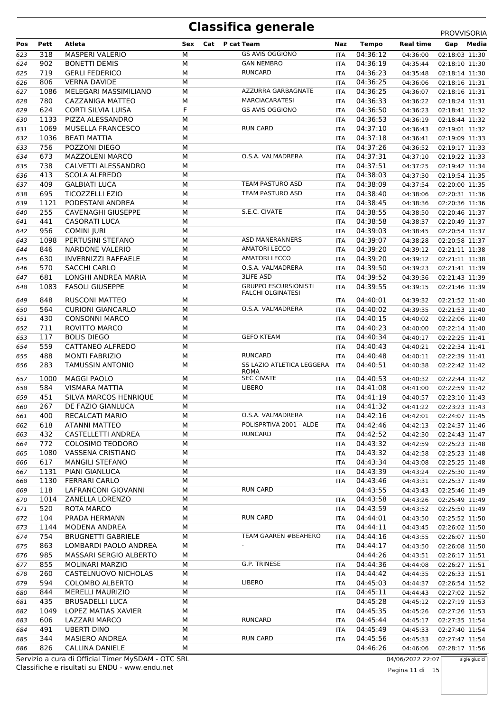|     |      |                            |            |                                          |            |          |           | PROVVISORIA    |
|-----|------|----------------------------|------------|------------------------------------------|------------|----------|-----------|----------------|
| Pos | Pett | Atleta                     | Cat<br>Sex | P cat Team                               | Naz        | Tempo    | Real time | Media<br>Gap   |
| 623 | 318  | <b>MASPERI VALERIO</b>     | M          | <b>GS AVIS OGGIONO</b>                   | ITA        | 04:36:12 | 04:36:00  | 02:18:03 11:30 |
| 624 | 902  | <b>BONETTI DEMIS</b>       | M          | <b>GAN NEMBRO</b>                        | <b>ITA</b> | 04:36:19 | 04:35:44  | 02:18:10 11:30 |
| 625 | 719  | <b>GERLI FEDERICO</b>      | M          | <b>RUNCARD</b>                           | ITA        | 04:36:23 | 04:35:48  | 02:18:14 11:30 |
| 626 | 806  | <b>VERNA DAVIDE</b>        | M          |                                          | ITA        | 04:36:25 | 04:36:06  | 02:18:16 11:31 |
| 627 | 1086 | MELEGARI MASSIMILIANO      | M          | AZZURRA GARBAGNATE                       | <b>ITA</b> | 04:36:25 | 04:36:07  | 02:18:16 11:31 |
| 628 | 780  | CAZZANIGA MATTEO           | М          | <b>MARCIACARATESI</b>                    | ITA        | 04:36:33 | 04:36:22  | 02:18:24 11:31 |
| 629 | 624  | CORTI SILVIA LUISA         | F          | <b>GS AVIS OGGIONO</b>                   | ITA        | 04:36:50 | 04:36:23  | 02:18:41 11:32 |
| 630 | 1133 | PIZZA ALESSANDRO           | М          |                                          | ITA        | 04:36:53 | 04:36:19  | 02:18:44 11:32 |
| 631 | 1069 | <b>MUSELLA FRANCESCO</b>   | M          | <b>RUN CARD</b>                          | ITA        | 04:37:10 | 04:36:43  | 02:19:01 11:32 |
| 632 | 1036 | <b>BEATI MATTIA</b>        | M          |                                          | ITA        | 04:37:18 | 04:36:41  | 02:19:09 11:33 |
| 633 | 756  | POZZONI DIEGO              | M          |                                          | ITA        | 04:37:26 | 04:36:52  | 02:19:17 11:33 |
| 634 | 673  | <b>MAZZOLENI MARCO</b>     | M          | O.S.A. VALMADRERA                        | ITA        | 04:37:31 | 04:37:10  | 02:19:22 11:33 |
| 635 | 738  | CALVETTI ALESSANDRO        | M          |                                          | ITA        | 04:37:51 | 04:37:25  | 02:19:42 11:34 |
| 636 | 413  | <b>SCOLA ALFREDO</b>       | M          |                                          | ITA        | 04:38:03 | 04:37:30  | 02:19:54 11:35 |
| 637 | 409  | <b>GALBIATI LUCA</b>       | M          | TEAM PASTURO ASD                         | ITA        | 04:38:09 | 04:37:54  | 02:20:00 11:35 |
| 638 | 695  | <b>TICOZZELLI EZIO</b>     | M          | TEAM PASTURO ASD                         | ITA        | 04:38:40 | 04:38:06  | 02:20:31 11:36 |
| 639 | 1121 | PODESTANI ANDREA           | M          |                                          | ITA        | 04:38:45 | 04:38:36  | 02:20:36 11:36 |
| 640 | 255  | <b>CAVENAGHI GIUSEPPE</b>  | M          | S.E.C. CIVATE                            | ITA        | 04:38:55 | 04:38:50  | 02:20:46 11:37 |
| 641 | 441  | <b>CASORATI LUCA</b>       | М          |                                          | ITA        | 04:38:58 | 04:38:37  | 02:20:49 11:37 |
| 642 | 956  | <b>COMINI JURI</b>         | M          |                                          | <b>ITA</b> | 04:39:03 | 04:38:45  | 02:20:54 11:37 |
| 643 | 1098 | PERTUSINI STEFANO          | M          | <b>ASD MANERANNERS</b>                   | ITA        | 04:39:07 | 04:38:28  | 02:20:58 11:37 |
| 644 | 846  | <b>NARDONE VALERIO</b>     | M          | <b>AMATORI LECCO</b>                     | ITA        | 04:39:20 | 04:39:12  | 02:21:11 11:38 |
| 645 | 630  | <b>INVERNIZZI RAFFAELE</b> | M          | <b>AMATORI LECCO</b>                     | ITA        | 04:39:20 | 04:39:12  | 02:21:11 11:38 |
| 646 | 570  | <b>SACCHI CARLO</b>        | M          | O.S.A. VALMADRERA                        | ITA        | 04:39:50 | 04:39:23  | 02:21:41 11:39 |
| 647 | 681  | LONGHI ANDREA MARIA        | М          | <b>3LIFE ASD</b>                         | ITA        | 04:39:52 | 04:39:36  | 02:21:43 11:39 |
| 648 | 1083 | <b>FASOLI GIUSEPPE</b>     | М          | <b>GRUPPO ESCURSIONISTI</b>              | ITA        | 04:39:55 | 04:39:15  | 02:21:46 11:39 |
|     |      |                            |            | <b>FALCHI OLGINATESI</b>                 |            |          |           |                |
| 649 | 848  | <b>RUSCONI MATTEO</b>      | М          |                                          | ITA        | 04:40:01 | 04:39:32  | 02:21:52 11:40 |
| 650 | 564  | <b>CURIONI GIANCARLO</b>   | M          | O.S.A. VALMADRERA                        | <b>ITA</b> | 04:40:02 | 04:39:35  | 02:21:53 11:40 |
| 651 | 430  | <b>CONSONNI MARCO</b>      | М          |                                          | ITA        | 04:40:15 | 04:40:02  | 02:22:06 11:40 |
| 652 | 711  | ROVITTO MARCO              | М          |                                          | ITA        | 04:40:23 | 04:40:00  | 02:22:14 11:40 |
| 653 | 117  | <b>BOLIS DIEGO</b>         | M          | <b>GEFO KTEAM</b>                        | <b>ITA</b> | 04:40:34 | 04:40:17  | 02:22:25 11:41 |
| 654 | 559  | CATTANEO ALFREDO           | M          |                                          | <b>ITA</b> | 04:40:43 | 04:40:21  | 02:22:34 11:41 |
| 655 | 488  | <b>MONTI FABRIZIO</b>      | М          | <b>RUNCARD</b>                           | ITA        | 04:40:48 | 04:40:11  | 02:22:39 11:41 |
| 656 | 283  | <b>TAMUSSIN ANTONIO</b>    | M          | SS LAZIO ATLETICA LEGGERA<br><b>ROMA</b> | <b>ITA</b> | 04:40:51 | 04:40:38  | 02:22:42 11:42 |
| 657 | 1000 | <b>MAGGI PAOLO</b>         | М          | <b>SEC CIVATE</b>                        | <b>ITA</b> | 04:40:53 | 04:40:32  | 02:22:44 11:42 |
| 658 | 584  | <b>VISMARA MATTIA</b>      | M          | LIBERO                                   | <b>ITA</b> | 04:41:08 | 04:41:00  | 02:22:59 11:42 |
| 659 | 451  | SILVA MARCOS HENRIQUE      | M          |                                          | <b>ITA</b> | 04:41:19 | 04:40:57  | 02:23:10 11:43 |
| 660 | 267  | DE FAZIO GIANLUCA          | M          |                                          | <b>ITA</b> | 04:41:32 | 04:41:22  | 02:23:23 11:43 |
| 661 | 400  | RECALCATI MARIO            | М          | O.S.A. VALMADRERA                        | ITA.       | 04:42:16 | 04:42:01  | 02:24:07 11:45 |
| 662 | 618  | <b>ATANNI MATTEO</b>       | М          | POLISPRTIVA 2001 - ALDE                  | <b>ITA</b> | 04:42:46 | 04:42:13  | 02:24:37 11:46 |
| 663 | 432  | CASTELLETTI ANDREA         | М          | RUNCARD                                  | ITA        | 04:42:52 | 04:42:30  | 02:24:43 11:47 |
| 664 | 772  | COLOSIMO TEODORO           | М          |                                          | <b>ITA</b> | 04:43:32 | 04:42:59  | 02:25:23 11:48 |
| 665 | 1080 | VASSENA CRISTIANO          | М          |                                          | ITA        | 04:43:32 | 04:42:58  | 02:25:23 11:48 |
| 666 | 617  | <b>MANGILI STEFANO</b>     | М          |                                          | ITA        | 04:43:34 | 04:43:08  | 02:25:25 11:48 |
| 667 | 1131 | PIANI GIANLUCA             | М          |                                          | ITA        | 04:43:39 | 04:43:24  | 02:25:30 11:49 |
| 668 | 1130 | <b>FERRARI CARLO</b>       | М          |                                          | <b>ITA</b> | 04:43:46 | 04:43:31  | 02:25:37 11:49 |
| 669 | 118  | LAFRANCONI GIOVANNI        | М          | <b>RUN CARD</b>                          |            | 04:43:55 | 04:43:43  | 02:25:46 11:49 |
| 670 | 1014 | ZANELLA LORENZO            | М          |                                          | ITA        | 04:43:58 | 04:43:26  | 02:25:49 11:49 |
| 671 | 520  | ROTA MARCO                 | М          |                                          | ITA        | 04:43:59 | 04:43:52  | 02:25:50 11:49 |
| 672 | 104  | PRADA HERMANN              | М          | <b>RUN CARD</b>                          | ITA        | 04:44:01 | 04:43:50  | 02:25:52 11:50 |
| 673 | 1144 | MODENA ANDREA              | М          |                                          | ITA        | 04:44:11 | 04:43:45  | 02:26:02 11:50 |
| 674 | 754  | <b>BRUGNETTI GABRIELE</b>  | М          | <b>TEAM GAAREN #BEAHERO</b>              | <b>ITA</b> | 04:44:16 | 04:43:55  | 02:26:07 11:50 |
| 675 | 863  | LOMBARDI PAOLO ANDREA      | М          | $\omega$                                 |            | 04:44:17 | 04:43:50  |                |
|     | 985  | MASSARI SERGIO ALBERTO     | М          |                                          | <b>ITA</b> | 04:44:26 |           | 02:26:08 11:50 |
| 676 | 855  | <b>MOLINARI MARZIO</b>     | М          | G.P. TRINESE                             |            | 04:44:36 | 04:43:51  | 02:26:17 11:51 |
| 677 | 260  | CASTELNUOVO NICHOLAS       | М          |                                          | ITA        | 04:44:42 | 04:44:08  | 02:26:27 11:51 |
| 678 |      |                            |            |                                          | <b>ITA</b> |          | 04:44:35  | 02:26:33 11:51 |
| 679 | 594  | <b>COLOMBO ALBERTO</b>     | М          | LIBERO                                   | ITA        | 04:45:03 | 04:44:37  | 02:26:54 11:52 |
| 680 | 844  | <b>MERELLI MAURIZIO</b>    | М          |                                          | <b>ITA</b> | 04:45:11 | 04:44:43  | 02:27:02 11:52 |
| 681 | 435  | <b>BRUSADELLI LUCA</b>     | М          |                                          |            | 04:45:28 | 04:45:12  | 02:27:19 11:53 |
| 682 | 1049 | LOPEZ MATIAS XAVIER        | М          |                                          | ITA        | 04:45:35 | 04:45:26  | 02:27:26 11:53 |
| 683 | 606  | LAZZARI MARCO              | М          | RUNCARD                                  | <b>ITA</b> | 04:45:44 | 04:45:17  | 02:27:35 11:54 |
| 684 | 491  | <b>UBERTI DINO</b>         | М          |                                          | <b>ITA</b> | 04:45:49 | 04:45:33  | 02:27:40 11:54 |
| 685 | 344  | <b>MASIERO ANDREA</b>      | М          | <b>RUN CARD</b>                          | <b>ITA</b> | 04:45:56 | 04:45:33  | 02:27:47 11:54 |
| 686 | 826  | <b>CALLINA DANIELE</b>     | м          |                                          |            | 04:46:26 | 04:46:06  | 02:28:17 11:56 |

Classifiche e risultati su ENDU - www.endu.net Servizio a cura di Official Timer MySDAM - OTC SRL 04/06/2022 22:07

Pagina 11 di 15

sigle giudici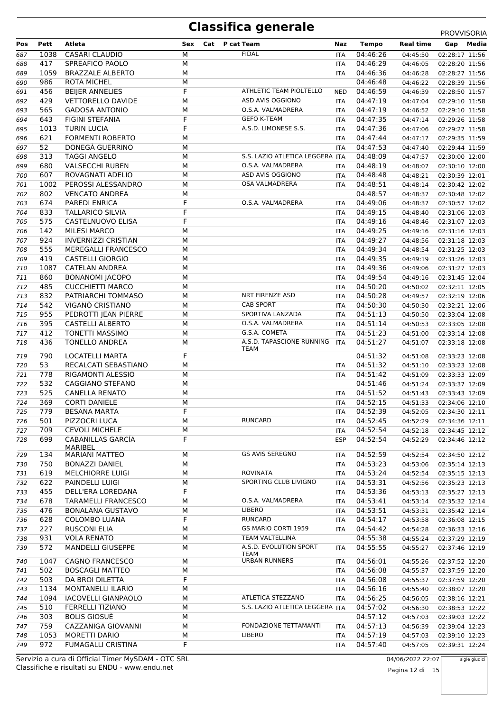|     |      |                            |     |     |                                   |            |                      |                  | <b>PROVVISORIA</b>                  |
|-----|------|----------------------------|-----|-----|-----------------------------------|------------|----------------------|------------------|-------------------------------------|
| Pos | Pett | Atleta                     | Sex | Cat | P cat Team                        | Naz        | <b>Tempo</b>         | <b>Real time</b> | Media<br>Gap                        |
| 687 | 1038 | <b>CASARI CLAUDIO</b>      | М   |     | <b>FIDAL</b>                      | <b>ITA</b> | 04:46:26             | 04:45:50         | 02:28:17 11:56                      |
| 688 | 417  | SPREAFICO PAOLO            | М   |     |                                   | <b>ITA</b> | 04:46:29             | 04:46:05         | 02:28:20 11:56                      |
| 689 | 1059 | <b>BRAZZALE ALBERTO</b>    | М   |     |                                   | <b>ITA</b> | 04:46:36             | 04:46:28         | 02:28:27 11:56                      |
| 690 | 986  | <b>ROTA MICHEL</b>         | M   |     |                                   |            | 04:46:48             | 04:46:22         | 02:28:39 11:56                      |
| 691 | 456  | <b>BEIJER ANNELIES</b>     | F   |     | ATHLETIC TEAM PIOLTELLO           | NED        | 04:46:59             | 04:46:39         | 02:28:50 11:57                      |
| 692 | 429  | <b>VETTORELLO DAVIDE</b>   | М   |     | ASD AVIS OGGIONO                  | <b>ITA</b> | 04:47:19             | 04:47:04         | 02:29:10 11:58                      |
| 693 | 565  | <b>GADOSA ANTONIO</b>      | M   |     | O.S.A. VALMADRERA                 | <b>ITA</b> | 04:47:19             | 04:46:52         | 02:29:10 11:58                      |
| 694 | 643  | FIGINI STEFANIA            | F   |     | <b>GEFO K-TEAM</b>                | <b>ITA</b> | 04:47:35             | 04:47:14         | 02:29:26 11:58                      |
| 695 | 1013 | <b>TURIN LUCIA</b>         | F   |     | A.S.D. LIMONESE S.S.              | <b>ITA</b> | 04:47:36             | 04:47:06         | 02:29:27 11:58                      |
| 696 | 621  | <b>FORMENTI ROBERTO</b>    | M   |     |                                   | <b>ITA</b> | 04:47:44             | 04:47:17         | 02:29:35 11:59                      |
| 697 | 52   | DONEGÀ GUERRINO            | М   |     |                                   | <b>ITA</b> | 04:47:53             | 04:47:40         | 02:29:44 11:59                      |
| 698 | 313  | <b>TAGGI ANGELO</b>        | M   |     | S.S. LAZIO ATLETICA LEGGERA ITA   |            | 04:48:09             | 04:47:57         | 02:30:00 12:00                      |
| 699 | 680  | <b>VALSECCHI RUBEN</b>     | M   |     | O.S.A. VALMADRERA                 | <b>ITA</b> | 04:48:19             | 04:48:07         | 02:30:10 12:00                      |
| 700 | 607  | ROVAGNATI ADELIO           | М   |     | ASD AVIS OGGIONO                  | <b>ITA</b> | 04:48:48             | 04:48:21         | 02:30:39 12:01                      |
| 701 | 1002 | PEROSSI ALESSANDRO         | М   |     | OSA VALMADRERA                    | <b>ITA</b> | 04:48:51             | 04:48:14         | 02:30:42 12:02                      |
| 702 | 802  | <b>VENCATO ANDREA</b>      | M   |     |                                   |            | 04:48:57             | 04:48:37         | 02:30:48 12:02                      |
| 703 | 674  | <b>PAREDI ENRICA</b>       | F   |     | O.S.A. VALMADRERA                 | <b>ITA</b> | 04:49:06             | 04:48:37         | 02:30:57 12:02                      |
| 704 | 833  | <b>TALLARICO SILVIA</b>    | F   |     |                                   | <b>ITA</b> | 04:49:15             | 04:48:40         | 02:31:06 12:03                      |
| 705 | 575  | CASTELNUOVO ELISA          | F   |     |                                   | <b>ITA</b> | 04:49:16             | 04:48:46         | 02:31:07 12:03                      |
| 706 | 142  | <b>MILESI MARCO</b>        | М   |     |                                   | <b>ITA</b> | 04:49:25             | 04:49:16         | 02:31:16 12:03                      |
| 707 | 924  | <b>INVERNIZZI CRISTIAN</b> | М   |     |                                   | <b>ITA</b> | 04:49:27             | 04:48:56         | 02:31:18 12:03                      |
| 708 | 555  | <b>MEREGALLI FRANCESCO</b> | M   |     |                                   | <b>ITA</b> | 04:49:34             | 04:48:54         | 02:31:25 12:03                      |
| 709 | 419  | <b>CASTELLI GIORGIO</b>    | M   |     |                                   | <b>ITA</b> | 04:49:35             | 04:49:19         | 02:31:26 12:03                      |
| 710 | 1087 | <b>CATELAN ANDREA</b>      | M   |     |                                   | <b>ITA</b> | 04:49:36             | 04:49:06         | 02:31:27 12:03                      |
|     | 860  | <b>BONANOMI JACOPO</b>     | M   |     |                                   | <b>ITA</b> | 04:49:54             |                  | 02:31:45 12:04                      |
| 711 | 485  | <b>CUCCHIETTI MARCO</b>    | М   |     |                                   |            | 04:50:20             | 04:49:16         |                                     |
| 712 | 832  | PATRIARCHI TOMMASO         | М   |     | NRT FIRENZE ASD                   | <b>ITA</b> | 04:50:28             | 04:50:02         | 02:32:11 12:05                      |
| 713 | 542  | VIGANÒ CRISTIANO           | М   |     | <b>CAB SPORT</b>                  | <b>ITA</b> |                      | 04:49:57         | 02:32:19 12:06                      |
| 714 | 955  |                            | M   |     | SPORTIVA LANZADA                  | <b>ITA</b> | 04:50:30<br>04:51:13 | 04:50:30         | 02:32:21 12:06                      |
| 715 |      | PEDROTTI JEAN PIERRE       |     |     | O.S.A. VALMADRERA                 | <b>ITA</b> |                      | 04:50:50         | 02:33:04 12:08                      |
| 716 | 395  | CASTELLI ALBERTO           | M   |     |                                   | <b>ITA</b> | 04:51:14             | 04:50:53         | 02:33:05 12:08                      |
| 717 | 412  | <b>TONETTI MASSIMO</b>     | M   |     | G.S.A. COMETA                     | <b>ITA</b> | 04:51:23             | 04:51:00         | 02:33:14 12:08                      |
| 718 | 436  | <b>TONELLO ANDREA</b>      | М   |     | A.S.D. TAPASCIONE RUNNING<br>TEAM | <b>ITA</b> | 04:51:27             | 04:51:07         | 02:33:18 12:08                      |
| 719 | 790  | <b>LOCATELLI MARTA</b>     | F   |     |                                   |            | 04:51:32             | 04:51:08         | 02:33:23 12:08                      |
| 720 | 53   | RECALCATI SEBASTIANO       | M   |     |                                   | <b>ITA</b> | 04:51:32             | 04:51:10         | 02:33:23 12:08                      |
| 721 | 778  | RIGAMONTI ALESSIO          | M   |     |                                   | <b>ITA</b> | 04:51:42             | 04:51:09         | 02:33:33 12:09                      |
| 722 | 532  | CAGGIANO STEFANO           | M   |     |                                   |            | 04:51:46             | 04:51:24         | 02:33:37 12:09                      |
| 723 | 525  | <b>CANELLA RENATO</b>      | М   |     |                                   | <b>ITA</b> | 04:51:52             | 04:51:43         | 02:33:43 12:09                      |
| 724 | 369  | <b>CORTI DANIELE</b>       | М   |     |                                   | <b>ITA</b> | 04:52:15             | 04:51:33         | 02:34:06 12:10                      |
| 725 | 779  | <b>BESANA MARTA</b>        | F   |     |                                   | <b>ITA</b> |                      |                  | 04:52:39  04:52:05  02:34:30  12:11 |
| 726 | 501  | PIZZOCRI LUCA              | М   |     | <b>RUNCARD</b>                    | ITA        | 04:52:45             | 04:52:29         | 02:34:36 12:11                      |
| 727 | 709  | <b>CEVOLI MICHELE</b>      | М   |     |                                   | ITA        | 04:52:54             | 04:52:18         | 02:34:45 12:12                      |
| 728 | 699  | CABANILLAS GARCIA          | F   |     |                                   | <b>ESP</b> | 04:52:54             | 04:52:29         | 02:34:46 12:12                      |
|     |      | MARIBEL                    |     |     |                                   |            |                      |                  |                                     |
| 729 | 134  | <b>MARIANI MATTEO</b>      | М   |     | <b>GS AVIS SEREGNO</b>            | ITA        | 04:52:59             | 04:52:54         | 02:34:50 12:12                      |
| 730 | 750  | <b>BONAZZI DANIEL</b>      | М   |     |                                   | <b>ITA</b> | 04:53:23             | 04:53:06         | 02:35:14 12:13                      |
| 731 | 619  | MELCHIORRE LUIGI           | М   |     | <b>ROVINATA</b>                   | ITA        | 04:53:24             | 04:52:54         | 02:35:15 12:13                      |
| 732 | 622  | PAINDELLI LUIGI            | М   |     | SPORTING CLUB LIVIGNO             | ITA        | 04:53:31             | 04:52:56         | 02:35:23 12:13                      |
| 733 | 455  | DELL'ERA LOREDANA          | F   |     |                                   | ITA        | 04:53:36             | 04:53:13         | 02:35:27 12:13                      |
| 734 | 678  | <b>TARAMELLI FRANCESCO</b> | М   |     | O.S.A. VALMADRERA                 | ITA        | 04:53:41             | 04:53:14         | 02:35:32 12:14                      |
| 735 | 476  | <b>BONALANA GUSTAVO</b>    | М   |     | LIBERO                            | ITA        | 04:53:51             | 04:53:31         | 02:35:42 12:14                      |
| 736 | 628  | COLOMBO LUANA              | F   |     | <b>RUNCARD</b>                    | ITA        | 04:54:17             | 04:53:58         | 02:36:08 12:15                      |
| 737 | 227  | <b>RUSCONI ELIA</b>        | М   |     | GS MARIO CORTI 1959               | ITA        | 04:54:42             | 04:54:28         | 02:36:33 12:16                      |
| 738 | 931  | <b>VOLA RENATO</b>         | М   |     | TEAM VALTELLINA                   |            | 04:55:38             | 04:55:24         | 02:37:29 12:19                      |
| 739 | 572  | <b>MANDELLI GIUSEPPE</b>   | М   |     | A.S.D. EVOLUTION SPORT            | ITA        | 04:55:55             | 04:55:27         | 02:37:46 12:19                      |
|     |      |                            |     |     | TEAM                              |            |                      |                  |                                     |
| 740 | 1047 | <b>CAGNO FRANCESCO</b>     | М   |     | <b>URBAN RUNNERS</b>              | ITA        | 04:56:01             | 04:55:26         | 02:37:52 12:20                      |
| 741 | 502  | <b>BOSCAGLI MATTEO</b>     | М   |     |                                   | <b>ITA</b> | 04:56:08             | 04:55:37         | 02:37:59 12:20                      |
| 742 | 503  | DA BROI DILETTA            | F   |     |                                   | ITA        | 04:56:08             | 04:55:37         | 02:37:59 12:20                      |
| 743 | 1134 | <b>MONTANELLI ILARIO</b>   | М   |     |                                   | <b>ITA</b> | 04:56:16             | 04:55:40         | 02:38:07 12:20                      |
| 744 | 1094 | <b>IACOVELLI GIANPAOLO</b> | М   |     | ATLETICA STEZZANO                 | <b>ITA</b> | 04:56:25             | 04:56:05         | 02:38:16 12:21                      |
| 745 | 510  | <b>FERRELLI TIZIANO</b>    | М   |     | S.S. LAZIO ATLETICA LEGGERA ITA   |            | 04:57:02             | 04:56:30         | 02:38:53 12:22                      |
| 746 | 303  | <b>BOLIS GIOSUÈ</b>        | М   |     |                                   |            | 04:57:12             | 04:57:03         | 02:39:03 12:22                      |
| 747 | 759  | CAZZANIGA GIOVANNI         | М   |     | FONDAZIONE TETTAMANTI             | ITA        | 04:57:13             | 04:56:39         | 02:39:04 12:23                      |
| 748 | 1053 | MORETTI DARIO              | М   |     | LIBERO                            | ITA        | 04:57:19             | 04:57:03         | 02:39:10 12:23                      |
| 749 | 972  | <b>FUMAGALLI CRISTINA</b>  | F   |     |                                   | <b>ITA</b> | 04:57:40             | 04:57:05         | 02:39:31 12:24                      |

Classifiche e risultati su ENDU - www.endu.net Servizio a cura di Official Timer MySDAM - OTC SRL 04/06/2022 22:07 sigle giudici

Pagina 12 di 15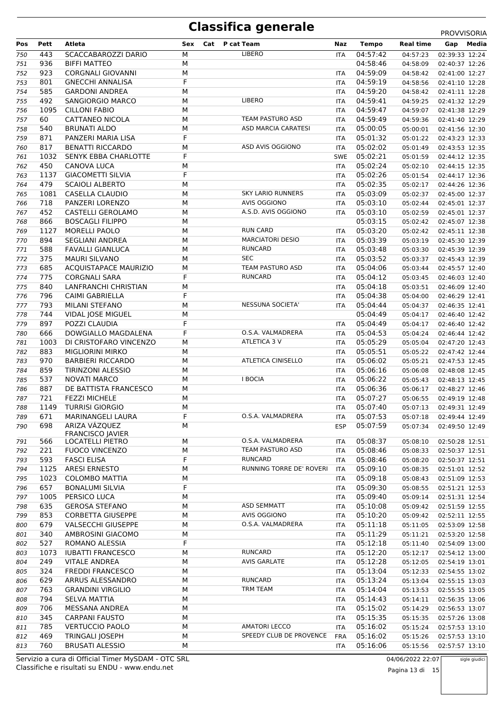|     |      |                                          |     |                            |            |              |                  | <b>PROVVISORIA</b> |
|-----|------|------------------------------------------|-----|----------------------------|------------|--------------|------------------|--------------------|
| Pos | Pett | Atleta                                   | Sex | Cat<br>P cat Team          | Naz        | <b>Tempo</b> | <b>Real time</b> | Media<br>Gap       |
| 750 | 443  | SCACCABAROZZI DARIO                      | М   | <b>LIBERO</b>              | ITA        | 04:57:42     | 04:57:23         | 02:39:33 12:24     |
| 751 | 936  | <b>BIFFI MATTEO</b>                      | М   |                            |            | 04:58:46     | 04:58:09         | 02:40:37 12:26     |
| 752 | 923  | <b>CORGNALI GIOVANNI</b>                 | M   |                            | <b>ITA</b> | 04:59:09     | 04:58:42         | 02:41:00 12:27     |
| 753 | 801  | <b>GNECCHI ANNALISA</b>                  | F   |                            | ITA        | 04:59:19     | 04:58:56         | 02:41:10 12:28     |
| 754 | 585  | <b>GARDONI ANDREA</b>                    | M   |                            | ITA        | 04:59:20     | 04:58:42         | 02:41:11 12:28     |
| 755 | 492  | SANGIORGIO MARCO                         | M   | LIBERO                     | ITA        | 04:59:41     | 04:59:25         | 02:41:32 12:29     |
| 756 | 1095 | <b>CILLONI FABIO</b>                     | M   |                            | ITA        | 04:59:47     | 04:59:07         | 02:41:38 12:29     |
| 757 | 60   | CATTANEO NICOLA                          | M   | TEAM PASTURO ASD           |            | 04:59:49     | 04:59:36         |                    |
|     |      |                                          |     | <b>ASD MARCIA CARATESI</b> | ITA        |              |                  | 02:41:40 12:29     |
| 758 | 540  | <b>BRUNATI ALDO</b>                      | M   |                            | ITA        | 05:00:05     | 05:00:01         | 02:41:56 12:30     |
| 759 | 871  | PANZERI MARIA LISA                       | F   |                            | <b>ITA</b> | 05:01:32     | 05:01:22         | 02:43:23 12:33     |
| 760 | 817  | <b>BENATTI RICCARDO</b>                  | M   | ASD AVIS OGGIONO           | ITA        | 05:02:02     | 05:01:49         | 02:43:53 12:35     |
| 761 | 1032 | <b>SENYK EBBA CHARLOTTE</b>              | F   |                            | <b>SWE</b> | 05:02:21     | 05:01:59         | 02:44:12 12:35     |
| 762 | 450  | CANOVA LUCA                              | M   |                            | <b>ITA</b> | 05:02:24     | 05:02:10         | 02:44:15 12:35     |
| 763 | 1137 | <b>GIACOMETTI SILVIA</b>                 | F   |                            | ITA        | 05:02:26     | 05:01:54         | 02:44:17 12:36     |
| 764 | 479  | <b>SCAIOLI ALBERTO</b>                   | M   |                            | ITA        | 05:02:35     | 05:02:17         | 02:44:26 12:36     |
| 765 | 1081 | CASELLA CLAUDIO                          | M   | <b>SKY LARIO RUNNERS</b>   | ITA        | 05:03:09     | 05:02:37         | 02:45:00 12:37     |
| 766 | 718  | PANZERI LORENZO                          | M   | AVIS OGGIONO               | ITA        | 05:03:10     | 05:02:44         | 02:45:01 12:37     |
| 767 | 452  | CASTELLI GEROLAMO                        | M   | A.S.D. AVIS OGGIONO        | ITA        | 05:03:10     | 05:02:59         | 02:45:01 12:37     |
| 768 | 866  | <b>BOSCAGLI FILIPPO</b>                  | M   |                            |            | 05:03:15     | 05:02:42         | 02:45:07 12:38     |
| 769 | 1127 | <b>MORELLI PAOLO</b>                     | M   | <b>RUN CARD</b>            | ITA        | 05:03:20     | 05:02:42         | 02:45:11 12:38     |
| 770 | 894  | <b>SEGLIANI ANDREA</b>                   | М   | <b>MARCIATORI DESIO</b>    | ITA        | 05:03:39     | 05:03:19         | 02:45:30 12:39     |
| 771 | 588  | <b>FAVALLI GIANLUCA</b>                  | M   | <b>RUNCARD</b>             | ITA        | 05:03:48     | 05:03:30         | 02:45:39 12:39     |
|     | 375  | <b>MAURI SILVANO</b>                     | M   | <b>SEC</b>                 |            |              |                  |                    |
| 772 |      |                                          |     |                            | <b>ITA</b> | 05:03:52     | 05:03:37         | 02:45:43 12:39     |
| 773 | 685  | ACQUISTAPACE MAURIZIO                    | M   | TEAM PASTURO ASD           | ITA        | 05:04:06     | 05:03:44         | 02:45:57 12:40     |
| 774 | 775  | <b>CORGNALI SARA</b>                     | F   | <b>RUNCARD</b>             | ITA        | 05:04:12     | 05:03:45         | 02:46:03 12:40     |
| 775 | 840  | LANFRANCHI CHRISTIAN                     | M   |                            | ITA        | 05:04:18     | 05:03:51         | 02:46:09 12:40     |
| 776 | 796  | CAIMI GABRIELLA                          | F   |                            | ITA        | 05:04:38     | 05:04:00         | 02:46:29 12:41     |
| 777 | 793  | MILANI STEFANO                           | M   | <b>NESSUNA SOCIETA'</b>    | ITA        | 05:04:44     | 05:04:37         | 02:46:35 12:41     |
| 778 | 744  | VIDAL JOSE MIGUEL                        | M   |                            |            | 05:04:49     | 05:04:17         | 02:46:40 12:42     |
| 779 | 897  | POZZI CLAUDIA                            | F   |                            | ITA        | 05:04:49     | 05:04:17         | 02:46:40 12:42     |
| 780 | 666  | DOWGIALLO MAGDALENA                      | F   | O.S.A. VALMADRERA          | ITA        | 05:04:53     | 05:04:24         | 02:46:44 12:42     |
| 781 | 1003 | DI CRISTOFARO VINCENZO                   | M   | ATLETICA 3 V               | ITA        | 05:05:29     | 05:05:04         | 02:47:20 12:43     |
| 782 | 883  | <b>MIGLIORINI MIRKO</b>                  | М   |                            | ITA        | 05:05:51     | 05:05:22         | 02:47:42 12:44     |
| 783 | 970  | <b>BARBIERI RICCARDO</b>                 | M   | <b>ATLETICA CINISELLO</b>  | ITA        | 05:06:02     | 05:05:21         | 02:47:53 12:45     |
| 784 | 859  | <b>TIRINZONI ALESSIO</b>                 | М   |                            | ITA        | 05:06:16     | 05:06:08         | 02:48:08 12:45     |
| 785 | 537  | <b>NOVATI MARCO</b>                      | M   | <b>I BOCIA</b>             | ITA        | 05:06:22     | 05:05:43         | 02:48:13 12:45     |
| 786 | 887  | DE BATTISTA FRANCESCO                    | М   |                            | ITA        | 05:06:36     | 05:06:17         | 02:48:27 12:46     |
| 787 | 721  | <b>FEZZI MICHELE</b>                     | М   |                            | ITA        | 05:07:27     | 05:06:55         | 02:49:19 12:48     |
| 788 | 1149 | <b>TURRISI GIORGIO</b>                   | M   |                            | ITA        | 05:07:40     | 05:07:13         | 02:49:31 12:49     |
|     |      | <b>MARINANGELI LAURA</b>                 |     | O.S.A. VALMADRERA          |            | 05:07:53     |                  |                    |
| 789 | 671  |                                          | F   |                            | ITA        |              | 05:07:18         | 02:49:44 12:49     |
| 790 | 698  | ARIZA VÁZQUEZ<br><b>FRANCISCO JAVIER</b> | М   |                            | <b>ESP</b> | 05:07:59     | 05:07:34         | 02:49:50 12:49     |
| 791 | 566  | LOCATELLI PIETRO                         | М   | O.S.A. VALMADRERA          | ITA        | 05:08:37     | 05:08:10         | 02:50:28 12:51     |
| 792 | 221  | <b>FUOCO VINCENZO</b>                    | M   | TEAM PASTURO ASD           | ITA        | 05:08:46     | 05:08:33         | 02:50:37 12:51     |
| 793 | 593  | <b>FASCI ELISA</b>                       | F   | <b>RUNCARD</b>             | ITA        | 05:08:46     | 05:08:20         | 02:50:37 12:51     |
|     | 1125 | <b>ARESI ERNESTO</b>                     | М   | RUNNING TORRE DE' ROVERI   |            | 05:09:10     |                  |                    |
| 794 | 1023 | <b>COLOMBO MATTIA</b>                    | M   |                            | ITA        | 05:09:18     | 05:08:35         | 02:51:01 12:52     |
| 795 |      |                                          |     |                            | <b>ITA</b> |              | 05:08:43         | 02:51:09 12:53     |
| 796 | 657  | <b>BONALUMI SILVIA</b>                   | F   |                            | ITA        | 05:09:30     | 05:08:55         | 02:51:21 12:53     |
| 797 | 1005 | PERSICO LUCA                             | М   |                            | ITA        | 05:09:40     | 05:09:14         | 02:51:31 12:54     |
| 798 | 635  | <b>GEROSA STEFANO</b>                    | М   | <b>ASD SEMMATT</b>         | ITA        | 05:10:08     | 05:09:42         | 02:51:59 12:55     |
| 799 | 853  | <b>CORBETTA GIUSEPPE</b>                 | М   | <b>AVIS OGGIONO</b>        | <b>ITA</b> | 05:10:20     | 05:09:42         | 02:52:11 12:55     |
| 800 | 679  | <b>VALSECCHI GIUSEPPE</b>                | М   | O.S.A. VALMADRERA          | <b>ITA</b> | 05:11:18     | 05:11:05         | 02:53:09 12:58     |
| 801 | 340  | AMBROSINI GIACOMO                        | М   |                            | ITA        | 05:11:29     | 05:11:21         | 02:53:20 12:58     |
| 802 | 527  | ROMANO ALESSIA                           | F   |                            | ITA        | 05:12:18     | 05:11:40         | 02:54:09 13:00     |
| 803 | 1073 | <b>IUBATTI FRANCESCO</b>                 | М   | <b>RUNCARD</b>             | ITA        | 05:12:20     | 05:12:17         | 02:54:12 13:00     |
| 804 | 249  | <b>VITALE ANDREA</b>                     | М   | <b>AVIS GARLATE</b>        | ITA        | 05:12:28     | 05:12:05         | 02:54:19 13:01     |
| 805 | 324  | <b>FREDDI FRANCESCO</b>                  | М   |                            | <b>ITA</b> | 05:13:04     | 05:12:33         | 02:54:55 13:02     |
| 806 | 629  | ARRUS ALESSANDRO                         | М   | <b>RUNCARD</b>             | ITA        | 05:13:24     | 05:13:04         | 02:55:15 13:03     |
| 807 | 763  | <b>GRANDINI VIRGILIO</b>                 | М   | TRM TEAM                   | ITA        | 05:14:04     | 05:13:53         | 02:55:55 13:05     |
| 808 | 794  | <b>SELVA MATTIA</b>                      | М   |                            | ITA        | 05:14:43     | 05:14:11         | 02:56:35 13:06     |
| 809 | 706  | MESSANA ANDREA                           | М   |                            | ITA        | 05:15:02     | 05:14:29         | 02:56:53 13:07     |
| 810 | 345  | <b>CARPANI FAUSTO</b>                    | М   |                            | <b>ITA</b> | 05:15:35     | 05:15:35         | 02:57:26 13:08     |
| 811 | 785  | <b>VERTUCCIO PAOLO</b>                   | М   | <b>AMATORI LECCO</b>       | ITA        | 05:16:02     | 05:15:24         | 02:57:53 13:10     |
|     |      |                                          |     | SPEEDY CLUB DE PROVENCE    |            |              |                  |                    |
| 812 | 469  | TRINGALI JOSEPH                          | М   |                            | <b>FRA</b> | 05:16:02     | 05:15:26         | 02:57:53 13:10     |
| 813 | 760  | <b>BRUSATI ALESSIO</b>                   | М   |                            | ITA        | 05:16:06     | 05:15:56         | 02:57:57 13:10     |

Classifiche e risultati su ENDU - www.endu.net Servizio a cura di Official Timer MySDAM - OTC SRL 04/06/2022 22:07

Pagina 13 di 15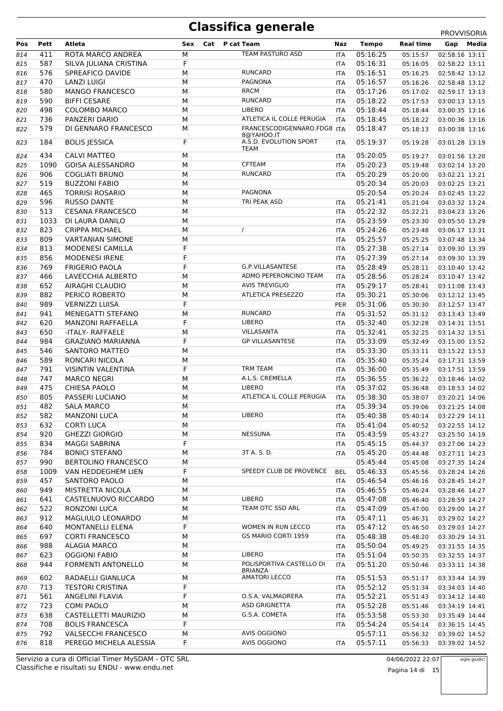|     |      |                            |     |                                      |            |              |                  | <b>PROVVISORIA</b> |
|-----|------|----------------------------|-----|--------------------------------------|------------|--------------|------------------|--------------------|
| Pos | Pett | Atleta                     | Sex | Cat<br>P cat Team                    | Naz        | <b>Tempo</b> | <b>Real time</b> | Media<br>Gap       |
| 814 | 411  | ROTA MARCO ANDREA          | M   | TEAM PASTURO ASD                     | <b>ITA</b> | 05:16:25     | 05:15:57         | 02:58:16 13:11     |
| 815 | 587  | SILVA JULIANA CRISTINA     | F   |                                      | <b>ITA</b> | 05:16:31     | 05:16:05         | 02:58:22 13:11     |
| 816 | 576  | SPREAFICO DAVIDE           | M   | <b>RUNCARD</b>                       | ITA        | 05:16:51     | 05:16:25         | 02:58:42 13:12     |
| 817 | 470  | <b>LANZI LUIGI</b>         | M   | <b>PAGNONA</b>                       | ITA        | 05:16:57     | 05:16:26         | 02:58:48 13:12     |
| 818 | 580  | <b>MANGO FRANCESCO</b>     | M   | <b>RRCM</b>                          | ITA        | 05:17:26     | 05:17:02         | 02:59:17 13:13     |
| 819 | 590  | <b>BIFFI CESARE</b>        | M   | <b>RUNCARD</b>                       | ITA        | 05:18:22     | 05:17:53         | 03:00:13 13:15     |
| 820 | 498  | <b>COLOMBO MARCO</b>       | M   | <b>LIBERO</b>                        | ITA        | 05:18:44     | 05:18:44         | 03:00:35 13:16     |
| 821 | 736  | PANZERI DARIO              | M   | ATLETICA IL COLLE PERUGIA            | <b>ITA</b> | 05:18:45     | 05:18:22         | 03:00:36 13:16     |
| 822 | 579  | DI GENNARO FRANCESCO       | M   | FRANCESCODIGENNARO.FDG8 ITA          |            | 05:18:47     | 05:18:13         | 03:00:38 13:16     |
|     | 184  |                            | F   | 8@YAHOO.IT<br>A.S.D. EVOLUTION SPORT |            | 05:19:37     |                  |                    |
| 823 |      | <b>BOLIS JESSICA</b>       |     | <b>TEAM</b>                          | <b>ITA</b> |              | 05:19:28         | 03:01:28 13:19     |
| 824 | 434  | CALVI MATTEO               | M   |                                      | <b>ITA</b> | 05:20:05     | 05:19:27         | 03:01:56 13:20     |
| 825 | 1090 | <b>GOISA ALESSANDRO</b>    | M   | <b>CFTEAM</b>                        | ITA        | 05:20:23     | 05:19:48         | 03:02:14 13:20     |
| 826 | 906  | <b>COGLIATI BRUNO</b>      | M   | <b>RUNCARD</b>                       | <b>ITA</b> | 05:20:29     | 05:20:00         | 03:02:21 13:21     |
| 827 | 519  | <b>BUZZONI FABIO</b>       | M   |                                      |            | 05:20:34     | 05:20:03         | 03:02:25 13:21     |
| 828 | 465  | <b>TORRISI ROSARIO</b>     | M   | <b>PAGNONA</b>                       |            | 05:20:54     | 05:20:24         | 03:02:45 13:22     |
| 829 | 596  | <b>RUSSO DANTE</b>         | M   | TRI PEAK ASD                         | ITA        | 05:21:41     | 05:21:04         | 03:03:32 13:24     |
| 830 | 513  | <b>CESANA FRANCESCO</b>    | M   |                                      | ITA        | 05:22:32     | 05:22:21         | 03:04:23 13:26     |
| 831 | 1033 | DI LAURA DANILO            | M   |                                      | <b>ITA</b> | 05:23:59     | 05:23:30         | 03:05:50 13:29     |
| 832 | 823  | <b>CRIPPA MICHAEL</b>      | M   | $\prime$                             | ITA        | 05:24:26     | 05:23:48         | 03:06:17 13:31     |
| 833 | 809  | <b>VARTANIAN SIMONE</b>    | M   |                                      | ITA        | 05:25:57     | 05:25:25         | 03:07:48 13:34     |
| 834 | 813  | <b>MODENESI CAMILLA</b>    | F   |                                      | <b>ITA</b> | 05:27:38     | 05:27:14         | 03:09:30 13:39     |
| 835 | 856  | <b>MODENESI IRENE</b>      | F   |                                      | ITA        | 05:27:39     | 05:27:14         | 03:09:30 13:39     |
| 836 | 769  | <b>FRIGERIO PAOLA</b>      | F   | G.P.VILLASANTESE                     | ITA        | 05:28:49     | 05:28:11         | 03:10:40 13:42     |
|     | 466  | LAVECCHIA ALBERTO          | M   | ADMO PEPERONCINO TEAM                |            |              |                  |                    |
| 837 |      |                            |     |                                      | <b>ITA</b> | 05:28:56     | 05:28:24         | 03:10:47 13:42     |
| 838 | 652  | AIRAGHI CLAUDIO            | M   | <b>AVIS TREVIGLIO</b>                | ITA        | 05:29:17     | 05:28:41         | 03:11:08 13:43     |
| 839 | 882  | PERICO ROBERTO             | M   | ATLETICA PRESEZZO                    | ITA        | 05:30:21     | 05:30:06         | 03:12:12 13:45     |
| 840 | 989  | <b>VERNIZZI LUISA</b>      | F   |                                      | PER        | 05:31:06     | 05:30:30         | 03:12:57 13:47     |
| 841 | 941  | <b>MENEGATTI STEFANO</b>   | М   | <b>RUNCARD</b>                       | ITA        | 05:31:52     | 05:31:12         | 03:13:43 13:49     |
| 842 | 620  | <b>MANZONI RAFFAELLA</b>   | F   | LIBERO                               | ITA        | 05:32:40     | 05:32:28         | 03:14:31 13:51     |
| 843 | 650  | -ITALY- RAFFAELE           | M   | VILLASANTA                           | ITA        | 05:32:41     | 05:32:25         | 03:14:32 13:51     |
| 844 | 984  | <b>GRAZIANO MARIANNA</b>   | F   | <b>GP VILLASANTESE</b>               | ITA        | 05:33:09     | 05:32:49         | 03:15:00 13:52     |
| 845 | 546  | <b>SANTORO MATTEO</b>      | M   |                                      | ITA        | 05:33:30     | 05:33:11         | 03:15:22 13:53     |
| 846 | 589  | RONCARI NICOLA             | M   |                                      | ITA        | 05:35:40     | 05:35:24         | 03:17:31 13:59     |
| 847 | 791  | <b>VISINTIN VALENTINA</b>  | F   | <b>TRM TEAM</b>                      | ITA        | 05:36:00     | 05:35:49         | 03:17:51 13:59     |
| 848 | 747  | <b>MARCO NEGRI</b>         | M   | A.L.S. CREMELLA                      | ITA        | 05:36:55     | 05:36:22         | 03:18:46 14:02     |
| 849 | 475  | <b>CHIESA PAOLO</b>        | M   | <b>LIBERO</b>                        | ITA        | 05:37:02     | 05:36:48         | 03:18:53 14:02     |
| 850 | 805  | PASSERI LUCIANO            | M   | ATLETICA IL COLLE PERUGIA            | ITA        | 05:38:30     | 05:38:07         | 03:20:21 14:06     |
| 851 | 482  | <b>SALA MARCO</b>          | M   |                                      | ITA        | 05:39:34     | 05:39:06         | 03:21:25 14:08     |
|     |      |                            |     | <b>LIBERO</b>                        |            |              |                  |                    |
| 852 | 582  | <b>MANZONI LUCA</b>        | М   |                                      | ITA        | 05:40:38     | 05:40:14         | 03:22:29 14:11     |
| 853 | 632  | <b>CORTI LUCA</b>          | M   |                                      | ITA        | 05:41:04     | 05:40:52         | 03:22:55 14:12     |
| 854 | 920  | <b>GHEZZI GIORGIO</b>      | M   | <b>NESSUNA</b>                       | ITA        | 05:43:59     | 05:43:27         | 03:25:50 14:19     |
| 855 | 834  | <b>MAGGI SABRINA</b>       | F   |                                      | ITA        | 05:45:15     | 05:44:37         | 03:27:06 14:23     |
| 856 | 784  | <b>BONICI STEFANO</b>      | М   | 3T A. S. D.                          | ITA.       | 05:45:20     | 05:44:48         | 03:27:11 14:23     |
| 857 | 990  | <b>BERTOLINO FRANCESCO</b> | М   |                                      |            | 05:45:44     | 05:45:08         | 03:27:35 14:24     |
| 858 | 1009 | VAN HEDDEGHEM LIEN         | F   | SPEEDY CLUB DE PROVENCE              | <b>BEL</b> | 05:46:33     | 05:45:56         | 03:28:24 14:26     |
| 859 | 457  | SANTORO PAOLO              | М   |                                      | ITA        | 05:46:54     | 05:46:16         | 03:28:45 14:27     |
| 860 | 949  | MISTRETTA NICOLA           | M   |                                      | ITA        | 05:46:55     | 05:46:24         | 03:28:46 14:27     |
| 861 | 641  | CASTELNUOVO RICCARDO       | М   | <b>LIBERO</b>                        | ITA        | 05:47:08     | 05:46:40         | 03:28:59 14:27     |
| 862 | 522  | RONZONI LUCA               | М   | TEAM OTC SSD ARL                     | ITA        | 05:47:09     | 05:47:00         | 03:29:00 14:27     |
| 863 | 912  | MAGLIULO LEONARDO          | M   |                                      | ITA        | 05:47:11     | 05:46:31         | 03:29:02 14:27     |
| 864 | 640  | <b>MONTANELLI ELENA</b>    | F   | WOMEN IN RUN LECCO                   | ITA        | 05:47:12     | 05:46:50         | 03:29:03 14:27     |
| 865 | 697  | <b>CORTI FRANCESCO</b>     | М   | GS MARIO CORTI 1959                  | ITA        | 05:48:38     | 05:48:20         | 03:30:29 14:31     |
| 866 | 988  | <b>ALAGIA MARCO</b>        | М   |                                      | ITA        | 05:50:04     | 05:49:25         | 03:31:55 14:35     |
| 867 | 623  | <b>OGGIONI FABIO</b>       | M   | <b>LIBERO</b>                        | ITA        | 05:51:04     | 05:50:35         | 03:32:55 14:37     |
|     | 944  | FORMENTI ANTONELLO         | М   | POLISPORTIVA CASTELLO DI             | ITA        | 05:51:20     | 05:50:46         | 03:33:11 14:38     |
| 868 |      |                            |     | <b>BRIANZA</b>                       |            |              |                  |                    |
| 869 | 602  | RADAELLI GIANLUCA          | М   | <b>AMATORI LECCO</b>                 | ITA        | 05:51:53     | 05:51:17         | 03:33:44 14:39     |
| 870 | 713  | <b>TESTORI CRISTINA</b>    | F   |                                      | ITA        | 05:52:12     | 05:51:34         | 03:34:03 14:40     |
| 871 | 561  | ANGELINI FLAVIA            | F   | O.S.A. VALMADRERA                    | ITA        | 05:52:21     | 05:51:43         | 03:34:12 14:40     |
| 872 | 723  | <b>COMI PAOLO</b>          | M   | ASD GRIGNETTA                        | ITA        | 05:52:28     | 05:51:46         | 03:34:19 14:41     |
| 873 | 638  | CASTELLETTI MAURIZIO       | м   | G.S.A. COMETA                        | ITA        | 05:53:58     | 05:53:30         | 03:35:49 14:44     |
| 874 | 708  | <b>BOLIS FRANCESCA</b>     | F   |                                      | ITA        | 05:54:24     | 05:54:14         | 03:36:15 14:45     |
| 875 | 792  | <b>VALSECCHI FRANCESCO</b> | М   | AVIS OGGIONO                         |            | 05:57:11     | 05:56:32         | 03:39:02 14:52     |
| 876 | 818  | PEREGO MICHELA ALESSIA     | F   | AVIS OGGIONO                         | ITA        | 05:57:11     | 05:56:33         | 03:39:02 14:52     |
|     |      |                            |     |                                      |            |              |                  |                    |